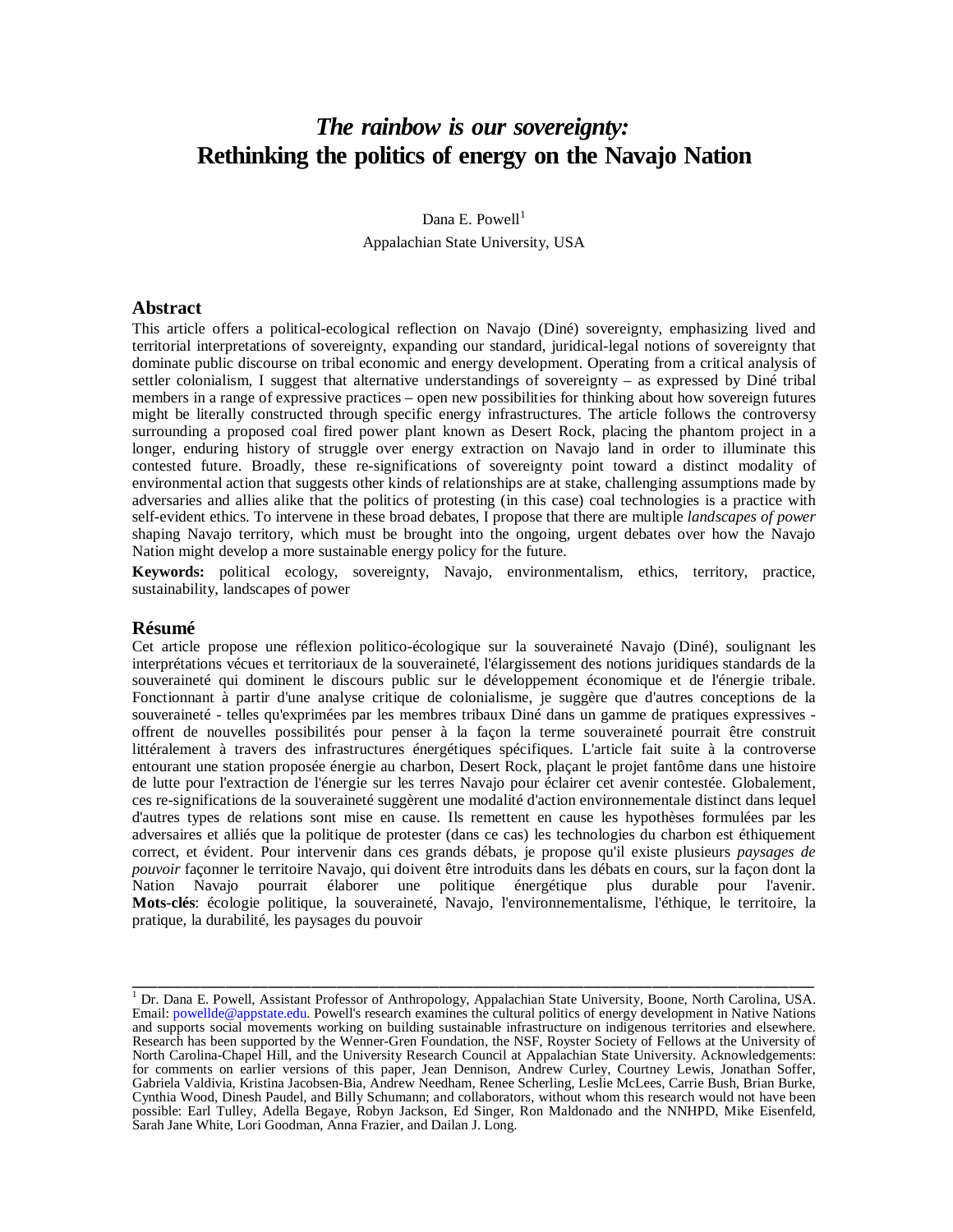# *The rainbow is our sovereignty:* **Rethinking the politics of energy on the Navajo Nation**

## Dana E. Powell $<sup>1</sup>$  $<sup>1</sup>$  $<sup>1</sup>$ </sup> Appalachian State University, USA

#### **Abstract**

This article offers a political-ecological reflection on Navajo (Diné) sovereignty, emphasizing lived and territorial interpretations of sovereignty, expanding our standard, juridical-legal notions of sovereignty that dominate public discourse on tribal economic and energy development. Operating from a critical analysis of settler colonialism, I suggest that alternative understandings of sovereignty – as expressed by Diné tribal members in a range of expressive practices – open new possibilities for thinking about how sovereign futures might be literally constructed through specific energy infrastructures. The article follows the controversy surrounding a proposed coal fired power plant known as Desert Rock, placing the phantom project in a longer, enduring history of struggle over energy extraction on Navajo land in order to illuminate this contested future. Broadly, these re-significations of sovereignty point toward a distinct modality of environmental action that suggests other kinds of relationships are at stake, challenging assumptions made by adversaries and allies alike that the politics of protesting (in this case) coal technologies is a practice with self-evident ethics. To intervene in these broad debates, I propose that there are multiple *landscapes of power* shaping Navajo territory, which must be brought into the ongoing, urgent debates over how the Navajo Nation might develop a more sustainable energy policy for the future.

**Keywords:** political ecology, sovereignty, Navajo, environmentalism, ethics, territory, practice, sustainability, landscapes of power

#### **Résumé**

Cet article propose une réflexion politico-écologique sur la souveraineté Navajo (Diné), soulignant les interprétations vécues et territoriaux de la souveraineté, l'élargissement des notions juridiques standards de la souveraineté qui dominent le discours public sur le développement économique et de l'énergie tribale. Fonctionnant à partir d'une analyse critique de colonialisme, je suggère que d'autres conceptions de la souveraineté - telles qu'exprimées par les membres tribaux Diné dans un gamme de pratiques expressives offrent de nouvelles possibilités pour penser à la façon la terme souveraineté pourrait être construit littéralement à travers des infrastructures énergétiques spécifiques. L'article fait suite à la controverse entourant une station proposée énergie au charbon, Desert Rock, plaçant le projet fantôme dans une histoire de lutte pour l'extraction de l'énergie sur les terres Navajo pour éclairer cet avenir contestée. Globalement, ces re-significations de la souveraineté suggèrent une modalité d'action environnementale distinct dans lequel d'autres types de relations sont mise en cause. Ils remettent en cause les hypothèses formulées par les adversaires et alliés que la politique de protester (dans ce cas) les technologies du charbon est éthiquement correct, et évident. Pour intervenir dans ces grands débats, je propose qu'il existe plusieurs *paysages de pouvoir* façonner le territoire Navajo, qui doivent être introduits dans les débats en cours, sur la façon dont la Nation Navajo pourrait élaborer une politique énergétique plus durable pour l'avenir. **Mots-clés**: écologie politique, la souveraineté, Navajo, l'environnementalisme, l'éthique, le territoire, la pratique, la durabilité, les paysages du pouvoir

<span id="page-0-0"></span><sup>&</sup>lt;sup>1</sup> Dr. Dana E. Powell, Assistant Professor of Anthropology, Appalachian State University, Boone, North Carolina, USA. Email: [powellde@appstate.edu.](mailto:powellde@appstate.edu) Powell's research examines the cultural politics of energy development in Native Nations and supports social movements working on building sustainable infrastructure on indigenous territories and elsewhere. Research has been supported by the Wenner-Gren Foundation, the NSF, Royster Society of Fellows at the University of North Carolina-Chapel Hill, and the University Research Council at Appalachian State University. Acknowledgements: for comments on earlier versions of this paper, Jean Dennison, Andrew Curley, Courtney Lewis, Jonathan Soffer, Gabriela Valdivia, Kristina Jacobsen-Bia, Andrew Needham, Renee Scherling, Leslie McLees, Carrie Bush, Brian Burke, Cynthia Wood, Dinesh Paudel, and Billy Schumann; and collaborators, without whom this research would not have been possible: Earl Tulley, Adella Begaye, Robyn Jackson, Ed Singer, Ron Maldonado and the NNHPD, Mike Eisenfeld, Sarah Jane White, Lori Goodman, Anna Frazier, and Dailan J. Long.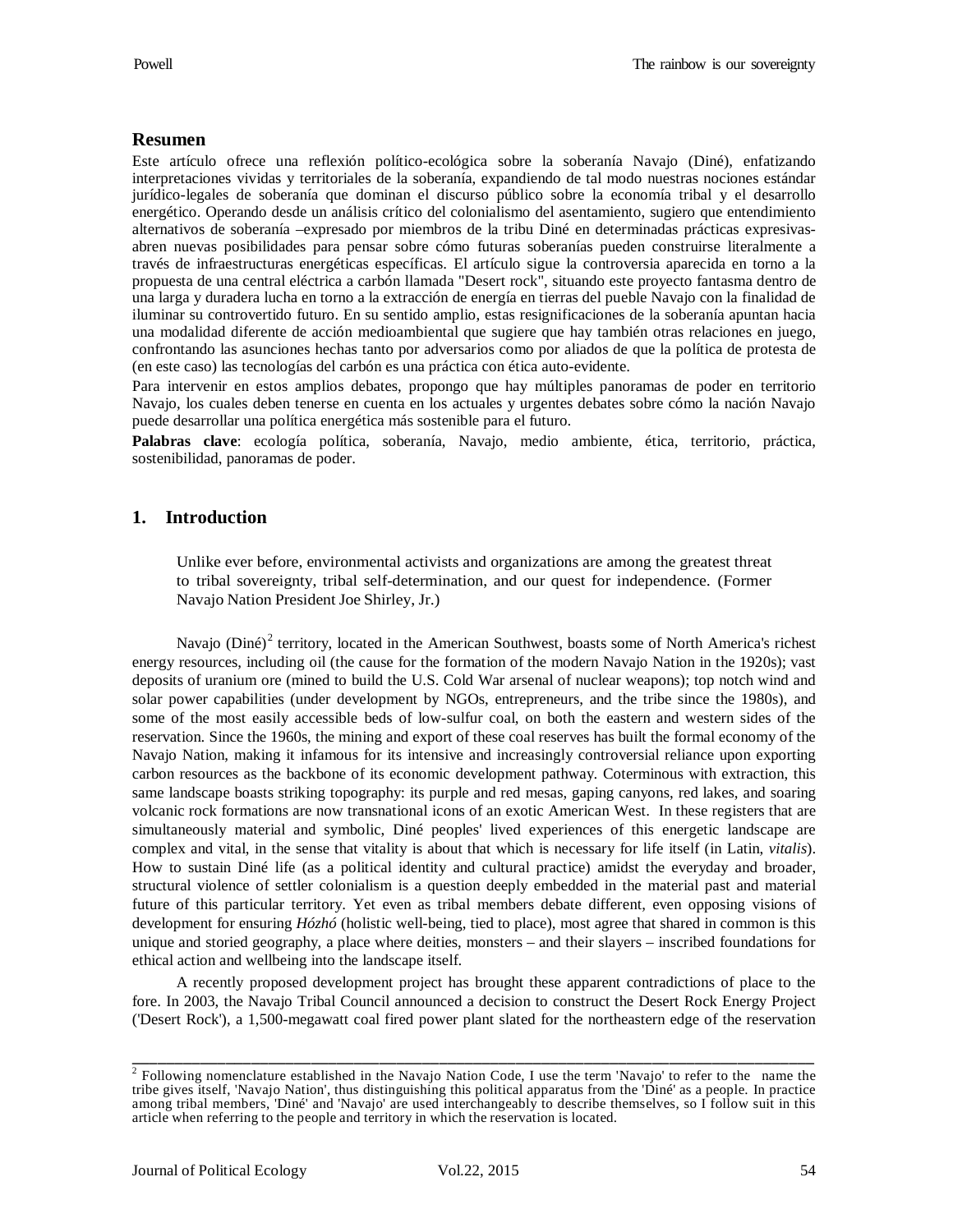## **Resumen**

Este artículo ofrece una reflexión político-ecológica sobre la soberanía Navajo (Diné), enfatizando interpretaciones vividas y territoriales de la soberanía, expandiendo de tal modo nuestras nociones estándar jurídico-legales de soberanía que dominan el discurso público sobre la economía tribal y el desarrollo energético. Operando desde un análisis crítico del colonialismo del asentamiento, sugiero que entendimiento alternativos de soberanía –expresado por miembros de la tribu Diné en determinadas prácticas expresivasabren nuevas posibilidades para pensar sobre cómo futuras soberanías pueden construirse literalmente a través de infraestructuras energéticas específicas. El artículo sigue la controversia aparecida en torno a la propuesta de una central eléctrica a carbón llamada "Desert rock", situando este proyecto fantasma dentro de una larga y duradera lucha en torno a la extracción de energía en tierras del pueble Navajo con la finalidad de iluminar su controvertido futuro. En su sentido amplio, estas resignificaciones de la soberanía apuntan hacia una modalidad diferente de acción medioambiental que sugiere que hay también otras relaciones en juego, confrontando las asunciones hechas tanto por adversarios como por aliados de que la política de protesta de (en este caso) las tecnologías del carbón es una práctica con ética auto-evidente.

Para intervenir en estos amplios debates, propongo que hay múltiples panoramas de poder en territorio Navajo, los cuales deben tenerse en cuenta en los actuales y urgentes debates sobre cómo la nación Navajo puede desarrollar una política energética más sostenible para el futuro.

**Palabras clave**: ecología política, soberanía, Navajo, medio ambiente, ética, territorio, práctica, sostenibilidad, panoramas de poder.

## **1. Introduction**

Unlike ever before, environmental activists and organizations are among the greatest threat to tribal sovereignty, tribal self-determination, and our quest for independence. (Former Navajo Nation President Joe Shirley, Jr.)

Navajo ( $Dim{D}$  territory, located in the American Southwest, boasts some of North America's richest energy resources, including oil (the cause for the formation of the modern Navajo Nation in the 1920s); vast deposits of uranium ore (mined to build the U.S. Cold War arsenal of nuclear weapons); top notch wind and solar power capabilities (under development by NGOs, entrepreneurs, and the tribe since the 1980s), and some of the most easily accessible beds of low-sulfur coal, on both the eastern and western sides of the reservation. Since the 1960s, the mining and export of these coal reserves has built the formal economy of the Navajo Nation, making it infamous for its intensive and increasingly controversial reliance upon exporting carbon resources as the backbone of its economic development pathway. Coterminous with extraction, this same landscape boasts striking topography: its purple and red mesas, gaping canyons, red lakes, and soaring volcanic rock formations are now transnational icons of an exotic American West. In these registers that are simultaneously material and symbolic, Diné peoples' lived experiences of this energetic landscape are complex and vital, in the sense that vitality is about that which is necessary for life itself (in Latin, *vitalis*). How to sustain Diné life (as a political identity and cultural practice) amidst the everyday and broader, structural violence of settler colonialism is a question deeply embedded in the material past and material future of this particular territory. Yet even as tribal members debate different, even opposing visions of development for ensuring *Hózhó* (holistic well-being, tied to place), most agree that shared in common is this unique and storied geography, a place where deities, monsters – and their slayers – inscribed foundations for ethical action and wellbeing into the landscape itself.

A recently proposed development project has brought these apparent contradictions of place to the fore. In 2003, the Navajo Tribal Council announced a decision to construct the Desert Rock Energy Project ('Desert Rock'), a 1,500-megawatt coal fired power plant slated for the northeastern edge of the reservation

<span id="page-1-0"></span><sup>&</sup>lt;sup>2</sup> Following nomenclature established in the Navajo Nation Code, I use the term 'Navajo' to refer to the name the tribe gives itself, 'Navajo Nation', thus distinguishing this political apparatus from the 'Diné' as a people. In practice among tribal members, 'Diné' and 'Navajo' are used interchangeably to describe themselves, so I follow suit in this article when referring to the people and territory in which the reservation is located.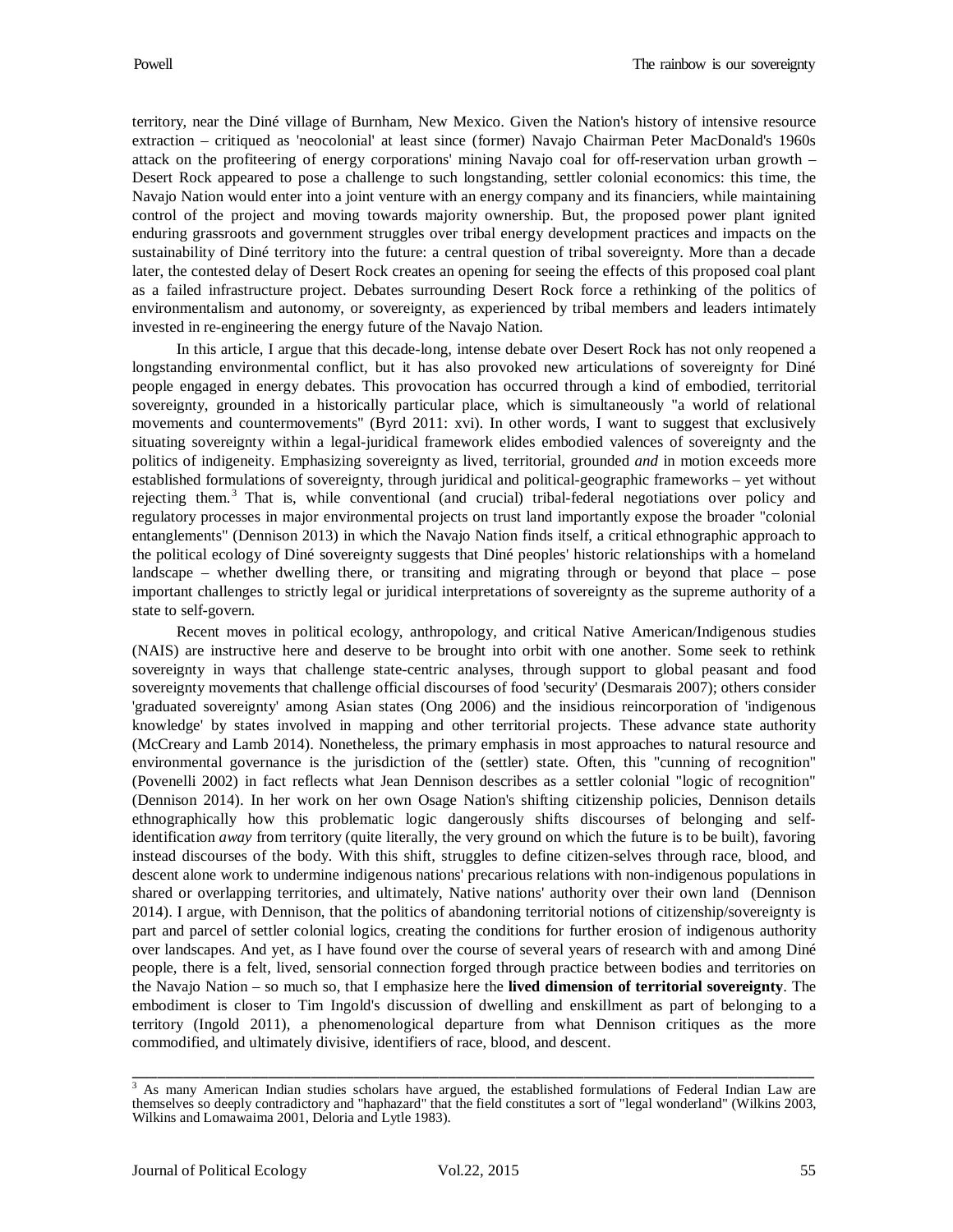territory, near the Diné village of Burnham, New Mexico. Given the Nation's history of intensive resource extraction – critiqued as 'neocolonial' at least since (former) Navajo Chairman Peter MacDonald's 1960s attack on the profiteering of energy corporations' mining Navajo coal for off-reservation urban growth – Desert Rock appeared to pose a challenge to such longstanding, settler colonial economics: this time, the Navajo Nation would enter into a joint venture with an energy company and its financiers, while maintaining control of the project and moving towards majority ownership. But, the proposed power plant ignited enduring grassroots and government struggles over tribal energy development practices and impacts on the sustainability of Diné territory into the future: a central question of tribal sovereignty. More than a decade later, the contested delay of Desert Rock creates an opening for seeing the effects of this proposed coal plant as a failed infrastructure project. Debates surrounding Desert Rock force a rethinking of the politics of environmentalism and autonomy, or sovereignty, as experienced by tribal members and leaders intimately invested in re-engineering the energy future of the Navajo Nation.

In this article, I argue that this decade-long, intense debate over Desert Rock has not only reopened a longstanding environmental conflict, but it has also provoked new articulations of sovereignty for Diné people engaged in energy debates. This provocation has occurred through a kind of embodied, territorial sovereignty, grounded in a historically particular place, which is simultaneously "a world of relational movements and countermovements" (Byrd 2011: xvi). In other words, I want to suggest that exclusively situating sovereignty within a legal-juridical framework elides embodied valences of sovereignty and the politics of indigeneity. Emphasizing sovereignty as lived, territorial, grounded *and* in motion exceeds more established formulations of sovereignty, through juridical and political-geographic frameworks – yet without rejecting them.<sup>[3](#page-2-0)</sup> That is, while conventional (and crucial) tribal-federal negotiations over policy and regulatory processes in major environmental projects on trust land importantly expose the broader "colonial entanglements" (Dennison 2013) in which the Navajo Nation finds itself, a critical ethnographic approach to the political ecology of Diné sovereignty suggests that Diné peoples' historic relationships with a homeland landscape – whether dwelling there, or transiting and migrating through or beyond that place – pose important challenges to strictly legal or juridical interpretations of sovereignty as the supreme authority of a state to self-govern.

Recent moves in political ecology, anthropology, and critical Native American/Indigenous studies (NAIS) are instructive here and deserve to be brought into orbit with one another. Some seek to rethink sovereignty in ways that challenge state-centric analyses, through support to global peasant and food sovereignty movements that challenge official discourses of food 'security' (Desmarais 2007); others consider 'graduated sovereignty' among Asian states (Ong 2006) and the insidious reincorporation of 'indigenous knowledge' by states involved in mapping and other territorial projects. These advance state authority (McCreary and Lamb 2014). Nonetheless, the primary emphasis in most approaches to natural resource and environmental governance is the jurisdiction of the (settler) state. Often, this "cunning of recognition" (Povenelli 2002) in fact reflects what Jean Dennison describes as a settler colonial "logic of recognition" (Dennison 2014). In her work on her own Osage Nation's shifting citizenship policies, Dennison details ethnographically how this problematic logic dangerously shifts discourses of belonging and selfidentification *away* from territory (quite literally, the very ground on which the future is to be built), favoring instead discourses of the body. With this shift, struggles to define citizen-selves through race, blood, and descent alone work to undermine indigenous nations' precarious relations with non-indigenous populations in shared or overlapping territories, and ultimately, Native nations' authority over their own land (Dennison 2014). I argue, with Dennison, that the politics of abandoning territorial notions of citizenship/sovereignty is part and parcel of settler colonial logics, creating the conditions for further erosion of indigenous authority over landscapes. And yet, as I have found over the course of several years of research with and among Diné people, there is a felt, lived, sensorial connection forged through practice between bodies and territories on the Navajo Nation – so much so, that I emphasize here the **lived dimension of territorial sovereignty**. The embodiment is closer to Tim Ingold's discussion of dwelling and enskillment as part of belonging to a territory (Ingold 2011), a phenomenological departure from what Dennison critiques as the more commodified, and ultimately divisive, identifiers of race, blood, and descent.

<span id="page-2-0"></span><sup>&</sup>lt;sup>3</sup> As many American Indian studies scholars have argued, the established formulations of Federal Indian Law are themselves so deeply contradictory and "haphazard" that the field constitutes a sort of "legal wonderland" (Wilkins 2003, Wilkins and Lomawaima 2001, Deloria and Lytle 1983).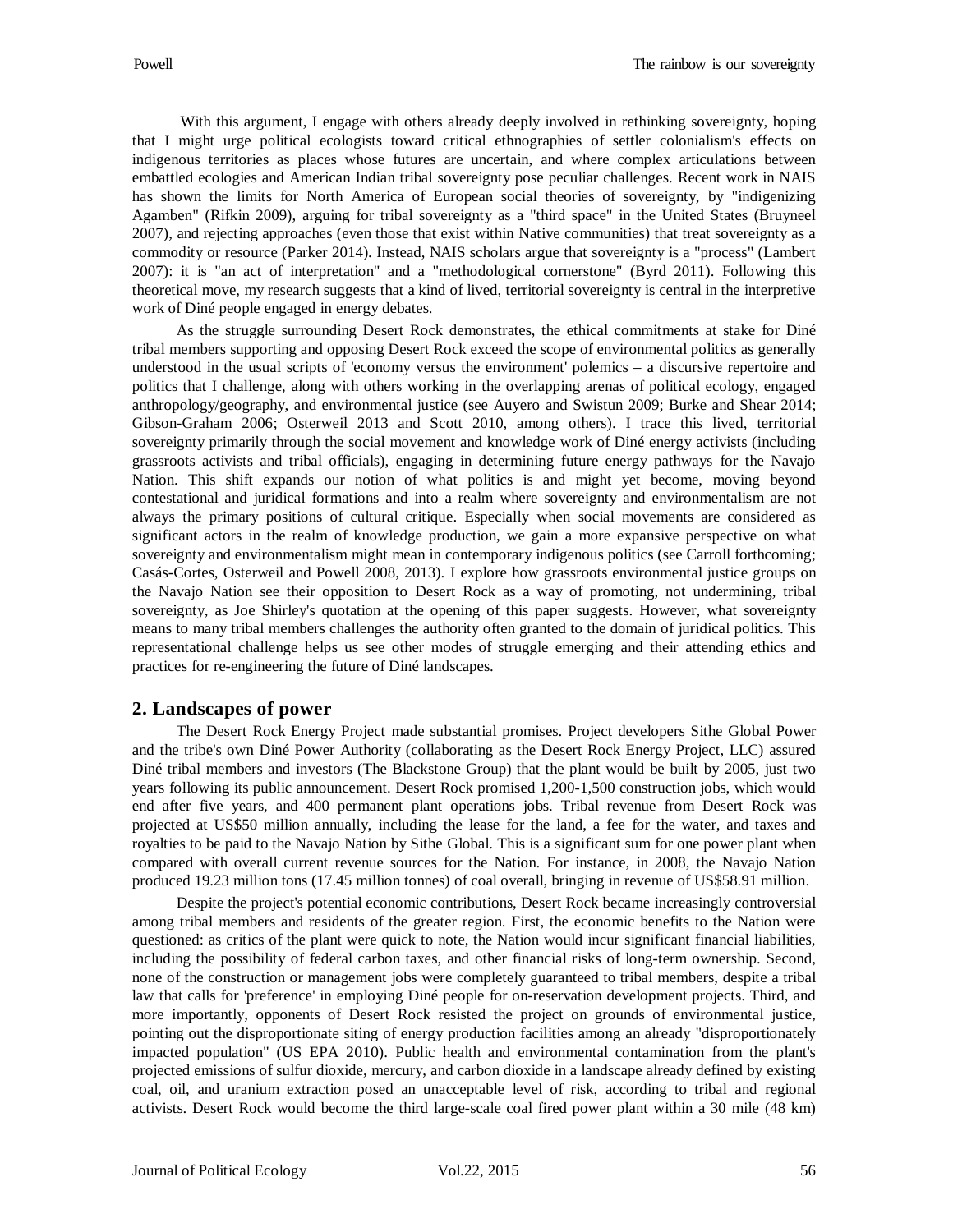With this argument, I engage with others already deeply involved in rethinking sovereignty, hoping that I might urge political ecologists toward critical ethnographies of settler colonialism's effects on indigenous territories as places whose futures are uncertain, and where complex articulations between embattled ecologies and American Indian tribal sovereignty pose peculiar challenges. Recent work in NAIS has shown the limits for North America of European social theories of sovereignty, by "indigenizing Agamben" (Rifkin 2009), arguing for tribal sovereignty as a "third space" in the United States (Bruyneel 2007), and rejecting approaches (even those that exist within Native communities) that treat sovereignty as a commodity or resource (Parker 2014). Instead, NAIS scholars argue that sovereignty is a "process" (Lambert 2007): it is "an act of interpretation" and a "methodological cornerstone" (Byrd 2011). Following this theoretical move, my research suggests that a kind of lived, territorial sovereignty is central in the interpretive work of Diné people engaged in energy debates.

As the struggle surrounding Desert Rock demonstrates, the ethical commitments at stake for Diné tribal members supporting and opposing Desert Rock exceed the scope of environmental politics as generally understood in the usual scripts of 'economy versus the environment' polemics – a discursive repertoire and politics that I challenge, along with others working in the overlapping arenas of political ecology, engaged anthropology/geography, and environmental justice (see Auyero and Swistun 2009; Burke and Shear 2014; Gibson-Graham 2006; Osterweil 2013 and Scott 2010, among others). I trace this lived, territorial sovereignty primarily through the social movement and knowledge work of Diné energy activists (including grassroots activists and tribal officials), engaging in determining future energy pathways for the Navajo Nation. This shift expands our notion of what politics is and might yet become, moving beyond contestational and juridical formations and into a realm where sovereignty and environmentalism are not always the primary positions of cultural critique. Especially when social movements are considered as significant actors in the realm of knowledge production, we gain a more expansive perspective on what sovereignty and environmentalism might mean in contemporary indigenous politics (see Carroll forthcoming; Casás-Cortes, Osterweil and Powell 2008, 2013). I explore how grassroots environmental justice groups on the Navajo Nation see their opposition to Desert Rock as a way of promoting, not undermining, tribal sovereignty, as Joe Shirley's quotation at the opening of this paper suggests. However, what sovereignty means to many tribal members challenges the authority often granted to the domain of juridical politics. This representational challenge helps us see other modes of struggle emerging and their attending ethics and practices for re-engineering the future of Diné landscapes.

## **2. Landscapes of power**

The Desert Rock Energy Project made substantial promises. Project developers Sithe Global Power and the tribe's own Diné Power Authority (collaborating as the Desert Rock Energy Project, LLC) assured Diné tribal members and investors (The Blackstone Group) that the plant would be built by 2005, just two years following its public announcement. Desert Rock promised 1,200-1,500 construction jobs, which would end after five years, and 400 permanent plant operations jobs. Tribal revenue from Desert Rock was projected at US\$50 million annually, including the lease for the land, a fee for the water, and taxes and royalties to be paid to the Navajo Nation by Sithe Global. This is a significant sum for one power plant when compared with overall current revenue sources for the Nation. For instance, in 2008, the Navajo Nation produced 19.23 million tons (17.45 million tonnes) of coal overall, bringing in revenue of US\$58.91 million.

Despite the project's potential economic contributions, Desert Rock became increasingly controversial among tribal members and residents of the greater region. First, the economic benefits to the Nation were questioned: as critics of the plant were quick to note, the Nation would incur significant financial liabilities, including the possibility of federal carbon taxes, and other financial risks of long-term ownership. Second, none of the construction or management jobs were completely guaranteed to tribal members, despite a tribal law that calls for 'preference' in employing Diné people for on-reservation development projects. Third, and more importantly, opponents of Desert Rock resisted the project on grounds of environmental justice, pointing out the disproportionate siting of energy production facilities among an already "disproportionately impacted population" (US EPA 2010). Public health and environmental contamination from the plant's projected emissions of sulfur dioxide, mercury, and carbon dioxide in a landscape already defined by existing coal, oil, and uranium extraction posed an unacceptable level of risk, according to tribal and regional activists. Desert Rock would become the third large-scale coal fired power plant within a 30 mile (48 km)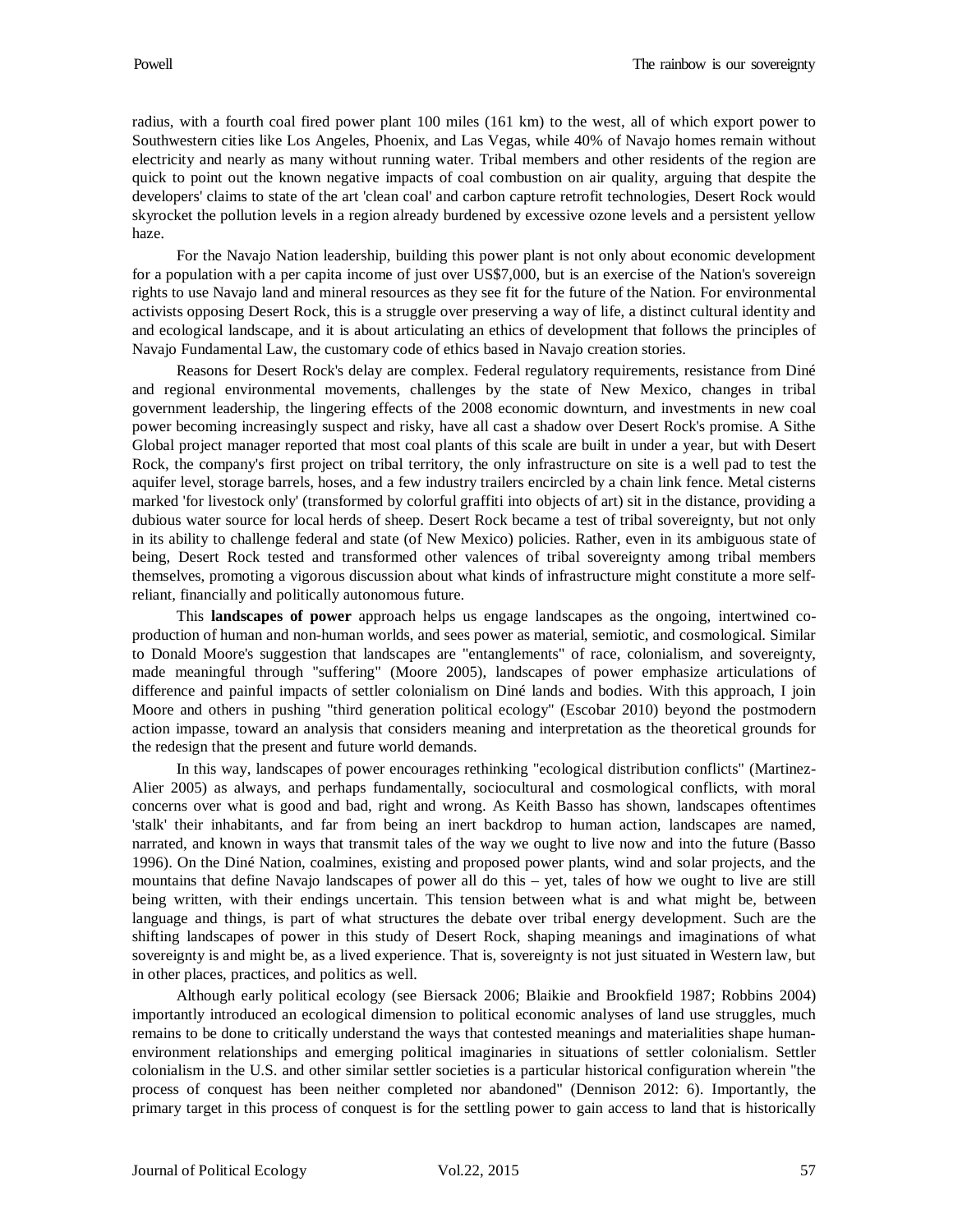radius, with a fourth coal fired power plant 100 miles (161 km) to the west, all of which export power to Southwestern cities like Los Angeles, Phoenix, and Las Vegas, while 40% of Navajo homes remain without electricity and nearly as many without running water. Tribal members and other residents of the region are quick to point out the known negative impacts of coal combustion on air quality, arguing that despite the developers' claims to state of the art 'clean coal' and carbon capture retrofit technologies, Desert Rock would skyrocket the pollution levels in a region already burdened by excessive ozone levels and a persistent yellow haze.

For the Navajo Nation leadership, building this power plant is not only about economic development for a population with a per capita income of just over US\$7,000, but is an exercise of the Nation's sovereign rights to use Navajo land and mineral resources as they see fit for the future of the Nation. For environmental activists opposing Desert Rock, this is a struggle over preserving a way of life, a distinct cultural identity and and ecological landscape, and it is about articulating an ethics of development that follows the principles of Navajo Fundamental Law, the customary code of ethics based in Navajo creation stories.

Reasons for Desert Rock's delay are complex. Federal regulatory requirements, resistance from Diné and regional environmental movements, challenges by the state of New Mexico, changes in tribal government leadership, the lingering effects of the 2008 economic downturn, and investments in new coal power becoming increasingly suspect and risky, have all cast a shadow over Desert Rock's promise. A Sithe Global project manager reported that most coal plants of this scale are built in under a year, but with Desert Rock, the company's first project on tribal territory, the only infrastructure on site is a well pad to test the aquifer level, storage barrels, hoses, and a few industry trailers encircled by a chain link fence. Metal cisterns marked 'for livestock only' (transformed by colorful graffiti into objects of art) sit in the distance, providing a dubious water source for local herds of sheep. Desert Rock became a test of tribal sovereignty, but not only in its ability to challenge federal and state (of New Mexico) policies. Rather, even in its ambiguous state of being, Desert Rock tested and transformed other valences of tribal sovereignty among tribal members themselves, promoting a vigorous discussion about what kinds of infrastructure might constitute a more selfreliant, financially and politically autonomous future.

This **landscapes of power** approach helps us engage landscapes as the ongoing, intertwined coproduction of human and non-human worlds, and sees power as material, semiotic, and cosmological. Similar to Donald Moore's suggestion that landscapes are "entanglements" of race, colonialism, and sovereignty, made meaningful through "suffering" (Moore 2005), landscapes of power emphasize articulations of difference and painful impacts of settler colonialism on Diné lands and bodies. With this approach, I join Moore and others in pushing "third generation political ecology" (Escobar 2010) beyond the postmodern action impasse, toward an analysis that considers meaning and interpretation as the theoretical grounds for the redesign that the present and future world demands.

In this way, landscapes of power encourages rethinking "ecological distribution conflicts" (Martinez-Alier 2005) as always, and perhaps fundamentally, sociocultural and cosmological conflicts, with moral concerns over what is good and bad, right and wrong. As Keith Basso has shown, landscapes oftentimes 'stalk' their inhabitants, and far from being an inert backdrop to human action, landscapes are named, narrated, and known in ways that transmit tales of the way we ought to live now and into the future (Basso 1996). On the Diné Nation, coalmines, existing and proposed power plants, wind and solar projects, and the mountains that define Navajo landscapes of power all do this – yet, tales of how we ought to live are still being written, with their endings uncertain. This tension between what is and what might be, between language and things, is part of what structures the debate over tribal energy development. Such are the shifting landscapes of power in this study of Desert Rock, shaping meanings and imaginations of what sovereignty is and might be, as a lived experience. That is, sovereignty is not just situated in Western law, but in other places, practices, and politics as well.

Although early political ecology (see Biersack 2006; Blaikie and Brookfield 1987; Robbins 2004) importantly introduced an ecological dimension to political economic analyses of land use struggles, much remains to be done to critically understand the ways that contested meanings and materialities shape humanenvironment relationships and emerging political imaginaries in situations of settler colonialism. Settler colonialism in the U.S. and other similar settler societies is a particular historical configuration wherein "the process of conquest has been neither completed nor abandoned" (Dennison 2012: 6). Importantly, the primary target in this process of conquest is for the settling power to gain access to land that is historically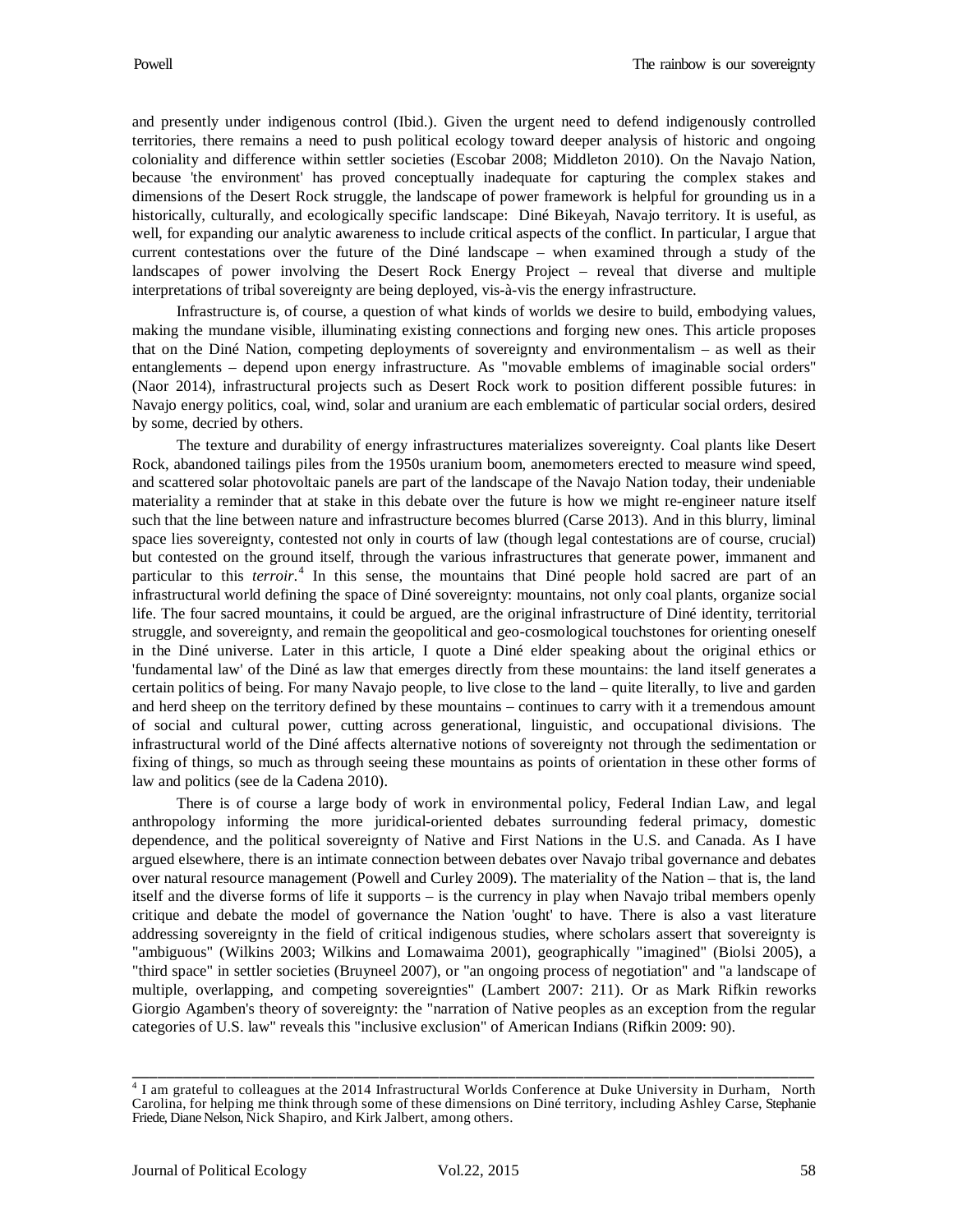and presently under indigenous control (Ibid.). Given the urgent need to defend indigenously controlled territories, there remains a need to push political ecology toward deeper analysis of historic and ongoing coloniality and difference within settler societies (Escobar 2008; Middleton 2010). On the Navajo Nation, because 'the environment' has proved conceptually inadequate for capturing the complex stakes and dimensions of the Desert Rock struggle, the landscape of power framework is helpful for grounding us in a historically, culturally, and ecologically specific landscape: Diné Bikeyah, Navajo territory. It is useful, as well, for expanding our analytic awareness to include critical aspects of the conflict. In particular, I argue that current contestations over the future of the Diné landscape – when examined through a study of the landscapes of power involving the Desert Rock Energy Project – reveal that diverse and multiple interpretations of tribal sovereignty are being deployed, vis-à-vis the energy infrastructure.

Infrastructure is, of course, a question of what kinds of worlds we desire to build, embodying values, making the mundane visible, illuminating existing connections and forging new ones. This article proposes that on the Diné Nation, competing deployments of sovereignty and environmentalism – as well as their entanglements – depend upon energy infrastructure. As "movable emblems of imaginable social orders" (Naor 2014), infrastructural projects such as Desert Rock work to position different possible futures: in Navajo energy politics, coal, wind, solar and uranium are each emblematic of particular social orders, desired by some, decried by others.

The texture and durability of energy infrastructures materializes sovereignty. Coal plants like Desert Rock, abandoned tailings piles from the 1950s uranium boom, anemometers erected to measure wind speed, and scattered solar photovoltaic panels are part of the landscape of the Navajo Nation today, their undeniable materiality a reminder that at stake in this debate over the future is how we might re-engineer nature itself such that the line between nature and infrastructure becomes blurred (Carse 2013). And in this blurry, liminal space lies sovereignty, contested not only in courts of law (though legal contestations are of course, crucial) but contested on the ground itself, through the various infrastructures that generate power, immanent and particular to this *terroir*. [4](#page-5-0) In this sense, the mountains that Diné people hold sacred are part of an infrastructural world defining the space of Diné sovereignty: mountains, not only coal plants, organize social life. The four sacred mountains, it could be argued, are the original infrastructure of Diné identity, territorial struggle, and sovereignty, and remain the geopolitical and geo-cosmological touchstones for orienting oneself in the Diné universe. Later in this article, I quote a Diné elder speaking about the original ethics or 'fundamental law' of the Diné as law that emerges directly from these mountains: the land itself generates a certain politics of being. For many Navajo people, to live close to the land – quite literally, to live and garden and herd sheep on the territory defined by these mountains – continues to carry with it a tremendous amount of social and cultural power, cutting across generational, linguistic, and occupational divisions. The infrastructural world of the Diné affects alternative notions of sovereignty not through the sedimentation or fixing of things, so much as through seeing these mountains as points of orientation in these other forms of law and politics (see de la Cadena 2010).

There is of course a large body of work in environmental policy, Federal Indian Law, and legal anthropology informing the more juridical-oriented debates surrounding federal primacy, domestic dependence, and the political sovereignty of Native and First Nations in the U.S. and Canada. As I have argued elsewhere, there is an intimate connection between debates over Navajo tribal governance and debates over natural resource management (Powell and Curley 2009). The materiality of the Nation – that is, the land itself and the diverse forms of life it supports – is the currency in play when Navajo tribal members openly critique and debate the model of governance the Nation 'ought' to have. There is also a vast literature addressing sovereignty in the field of critical indigenous studies, where scholars assert that sovereignty is "ambiguous" (Wilkins 2003; Wilkins and Lomawaima 2001), geographically "imagined" (Biolsi 2005), a "third space" in settler societies (Bruyneel 2007), or "an ongoing process of negotiation" and "a landscape of multiple, overlapping, and competing sovereignties" (Lambert 2007: 211). Or as Mark Rifkin reworks Giorgio Agamben's theory of sovereignty: the "narration of Native peoples as an exception from the regular categories of U.S. law" reveals this "inclusive exclusion" of American Indians (Rifkin 2009: 90).

<span id="page-5-0"></span><sup>4</sup> I am grateful to colleagues at the 2014 Infrastructural Worlds Conference at Duke University in Durham, North Carolina, for helping me think through some of these dimensions on Diné territory, including Ashley Carse, Stephanie Friede, Diane Nelson, Nick Shapiro, and Kirk Jalbert, among others.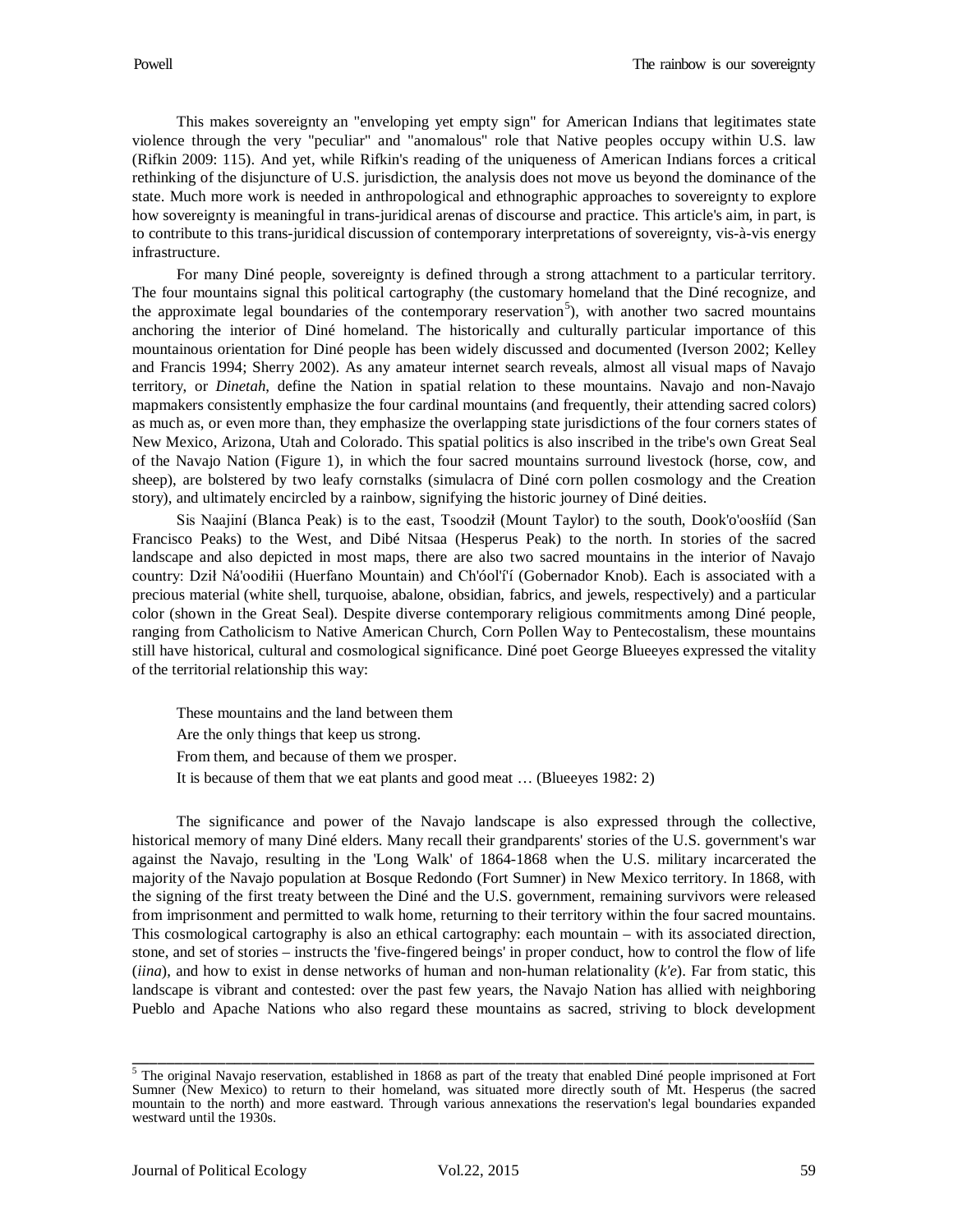This makes sovereignty an "enveloping yet empty sign" for American Indians that legitimates state violence through the very "peculiar" and "anomalous" role that Native peoples occupy within U.S. law (Rifkin 2009: 115). And yet, while Rifkin's reading of the uniqueness of American Indians forces a critical rethinking of the disjuncture of U.S. jurisdiction, the analysis does not move us beyond the dominance of the state. Much more work is needed in anthropological and ethnographic approaches to sovereignty to explore how sovereignty is meaningful in trans-juridical arenas of discourse and practice. This article's aim, in part, is to contribute to this trans-juridical discussion of contemporary interpretations of sovereignty, vis-à-vis energy infrastructure.

For many Diné people, sovereignty is defined through a strong attachment to a particular territory. The four mountains signal this political cartography (the customary homeland that the Diné recognize, and the approximate legal boundaries of the contemporary reservation<sup>[5](#page-6-0)</sup>), with another two sacred mountains anchoring the interior of Diné homeland. The historically and culturally particular importance of this mountainous orientation for Diné people has been widely discussed and documented (Iverson 2002; Kelley and Francis 1994; Sherry 2002). As any amateur internet search reveals, almost all visual maps of Navajo territory, or *Dinetah*, define the Nation in spatial relation to these mountains. Navajo and non-Navajo mapmakers consistently emphasize the four cardinal mountains (and frequently, their attending sacred colors) as much as, or even more than, they emphasize the overlapping state jurisdictions of the four corners states of New Mexico, Arizona, Utah and Colorado. This spatial politics is also inscribed in the tribe's own Great Seal of the Navajo Nation (Figure 1), in which the four sacred mountains surround livestock (horse, cow, and sheep), are bolstered by two leafy cornstalks (simulacra of Diné corn pollen cosmology and the Creation story), and ultimately encircled by a rainbow, signifying the historic journey of Diné deities.

Sis Naajiní (Blanca Peak) is to the east, Tsoodził (Mount Taylor) to the south, Dook'o'oosłííd (San Francisco Peaks) to the West, and Dibé Nitsaa (Hesperus Peak) to the north. In stories of the sacred landscape and also depicted in most maps, there are also two sacred mountains in the interior of Navajo country: Dził Ná'oodiłii (Huerfano Mountain) and Ch'óol'í'í (Gobernador Knob). Each is associated with a precious material (white shell, turquoise, abalone, obsidian, fabrics, and jewels, respectively) and a particular color (shown in the Great Seal). Despite diverse contemporary religious commitments among Diné people, ranging from Catholicism to Native American Church, Corn Pollen Way to Pentecostalism, these mountains still have historical, cultural and cosmological significance. Diné poet George Blueeyes expressed the vitality of the territorial relationship this way:

These mountains and the land between them Are the only things that keep us strong. From them, and because of them we prosper. It is because of them that we eat plants and good meat … (Blueeyes 1982: 2)

The significance and power of the Navajo landscape is also expressed through the collective, historical memory of many Diné elders. Many recall their grandparents' stories of the U.S. government's war against the Navajo, resulting in the 'Long Walk' of 1864-1868 when the U.S. military incarcerated the majority of the Navajo population at Bosque Redondo (Fort Sumner) in New Mexico territory. In 1868, with the signing of the first treaty between the Diné and the U.S. government, remaining survivors were released from imprisonment and permitted to walk home, returning to their territory within the four sacred mountains. This cosmological cartography is also an ethical cartography: each mountain – with its associated direction, stone, and set of stories – instructs the 'five-fingered beings' in proper conduct, how to control the flow of life (*iina*), and how to exist in dense networks of human and non-human relationality (*k'e*). Far from static, this landscape is vibrant and contested: over the past few years, the Navajo Nation has allied with neighboring Pueblo and Apache Nations who also regard these mountains as sacred, striving to block development

<span id="page-6-0"></span><sup>&</sup>lt;sup>5</sup> The original Navajo reservation, established in 1868 as part of the treaty that enabled Diné people imprisoned at Fort Sumner (New Mexico) to return to their homeland, was situated more directly south of Mt. Hesperus (the sacred mountain to the north) and more eastward. Through various annexations the reservation's legal boundaries expanded westward until the 1930s.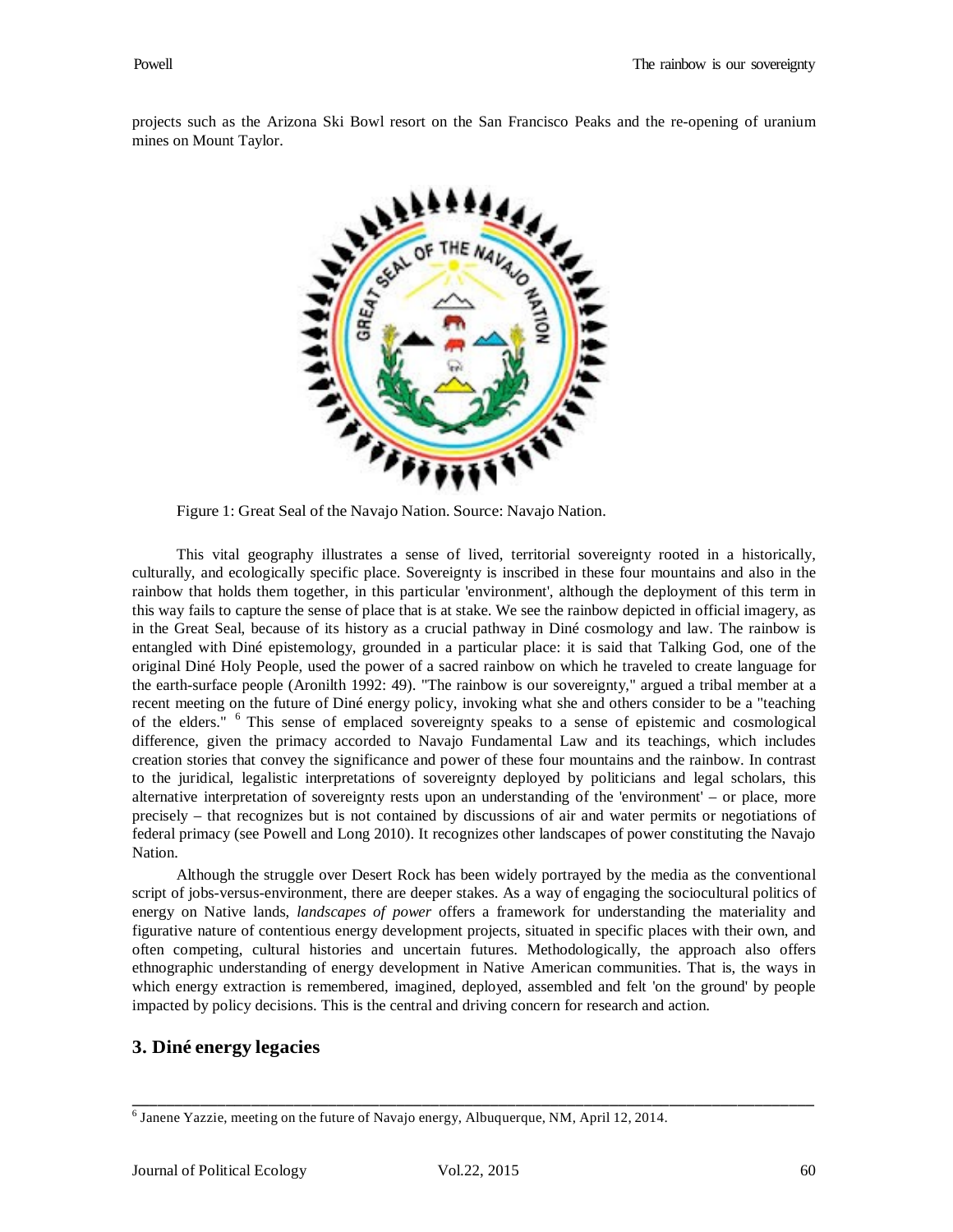projects such as the Arizona Ski Bowl resort on the San Francisco Peaks and the re-opening of uranium mines on Mount Taylor.



Figure 1: Great Seal of the Navajo Nation. Source: Navajo Nation.

This vital geography illustrates a sense of lived, territorial sovereignty rooted in a historically, culturally, and ecologically specific place. Sovereignty is inscribed in these four mountains and also in the rainbow that holds them together, in this particular 'environment', although the deployment of this term in this way fails to capture the sense of place that is at stake. We see the rainbow depicted in official imagery, as in the Great Seal, because of its history as a crucial pathway in Diné cosmology and law. The rainbow is entangled with Diné epistemology, grounded in a particular place: it is said that Talking God, one of the original Diné Holy People, used the power of a sacred rainbow on which he traveled to create language for the earth-surface people (Aronilth 1992: 49). "The rainbow is our sovereignty," argued a tribal member at a recent meeting on the future of Diné energy policy, invoking what she and others consider to be a "teaching of the elders." [6](#page-7-0) This sense of emplaced sovereignty speaks to a sense of epistemic and cosmological difference, given the primacy accorded to Navajo Fundamental Law and its teachings, which includes creation stories that convey the significance and power of these four mountains and the rainbow. In contrast to the juridical, legalistic interpretations of sovereignty deployed by politicians and legal scholars, this alternative interpretation of sovereignty rests upon an understanding of the 'environment' – or place, more precisely – that recognizes but is not contained by discussions of air and water permits or negotiations of federal primacy (see Powell and Long 2010). It recognizes other landscapes of power constituting the Navajo Nation.

Although the struggle over Desert Rock has been widely portrayed by the media as the conventional script of jobs-versus-environment, there are deeper stakes. As a way of engaging the sociocultural politics of energy on Native lands, *landscapes of power* offers a framework for understanding the materiality and figurative nature of contentious energy development projects, situated in specific places with their own, and often competing, cultural histories and uncertain futures. Methodologically, the approach also offers ethnographic understanding of energy development in Native American communities. That is, the ways in which energy extraction is remembered, imagined, deployed, assembled and felt 'on the ground' by people impacted by policy decisions. This is the central and driving concern for research and action.

## **3. Diné energy legacies**

<span id="page-7-0"></span> $6$  Janene Yazzie, meeting on the future of Navajo energy, Albuquerque, NM, April 12, 2014.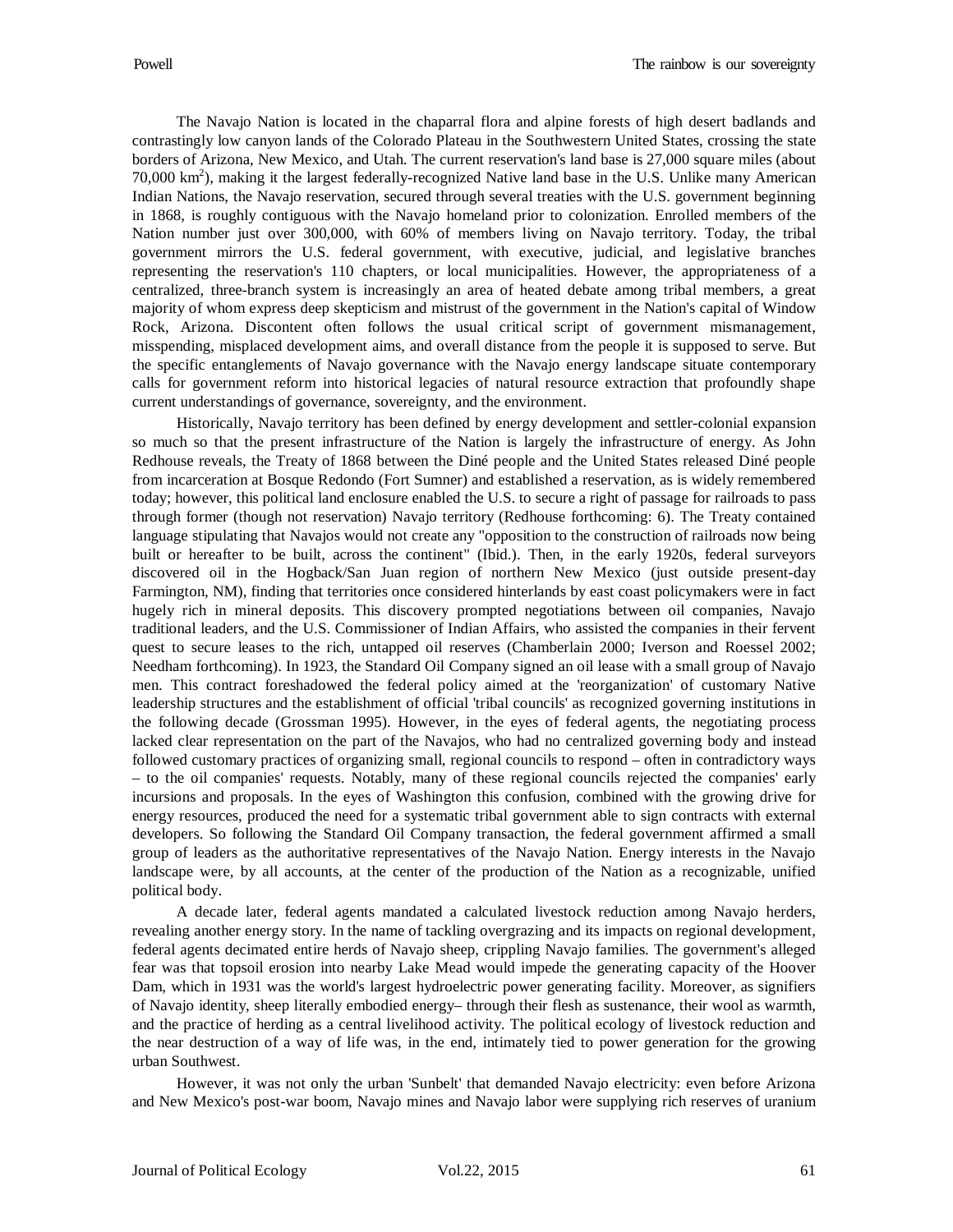The Navajo Nation is located in the chaparral flora and alpine forests of high desert badlands and contrastingly low canyon lands of the Colorado Plateau in the Southwestern United States, crossing the state borders of Arizona, New Mexico, and Utah. The current reservation's land base is 27,000 square miles (about 70,000  $\text{km}^2$ ), making it the largest federally-recognized Native land base in the U.S. Unlike many American Indian Nations, the Navajo reservation, secured through several treaties with the U.S. government beginning in 1868, is roughly contiguous with the Navajo homeland prior to colonization. Enrolled members of the Nation number just over 300,000, with 60% of members living on Navajo territory. Today, the tribal government mirrors the U.S. federal government, with executive, judicial, and legislative branches representing the reservation's 110 chapters, or local municipalities. However, the appropriateness of a centralized, three-branch system is increasingly an area of heated debate among tribal members, a great majority of whom express deep skepticism and mistrust of the government in the Nation's capital of Window Rock, Arizona. Discontent often follows the usual critical script of government mismanagement, misspending, misplaced development aims, and overall distance from the people it is supposed to serve. But the specific entanglements of Navajo governance with the Navajo energy landscape situate contemporary calls for government reform into historical legacies of natural resource extraction that profoundly shape current understandings of governance, sovereignty, and the environment.

Historically, Navajo territory has been defined by energy development and settler-colonial expansion so much so that the present infrastructure of the Nation is largely the infrastructure of energy. As John Redhouse reveals, the Treaty of 1868 between the Diné people and the United States released Diné people from incarceration at Bosque Redondo (Fort Sumner) and established a reservation, as is widely remembered today; however, this political land enclosure enabled the U.S. to secure a right of passage for railroads to pass through former (though not reservation) Navajo territory (Redhouse forthcoming: 6). The Treaty contained language stipulating that Navajos would not create any "opposition to the construction of railroads now being built or hereafter to be built, across the continent" (Ibid.). Then, in the early 1920s, federal surveyors discovered oil in the Hogback/San Juan region of northern New Mexico (just outside present-day Farmington, NM), finding that territories once considered hinterlands by east coast policymakers were in fact hugely rich in mineral deposits. This discovery prompted negotiations between oil companies, Navajo traditional leaders, and the U.S. Commissioner of Indian Affairs, who assisted the companies in their fervent quest to secure leases to the rich, untapped oil reserves (Chamberlain 2000; Iverson and Roessel 2002; Needham forthcoming). In 1923, the Standard Oil Company signed an oil lease with a small group of Navajo men. This contract foreshadowed the federal policy aimed at the 'reorganization' of customary Native leadership structures and the establishment of official 'tribal councils' as recognized governing institutions in the following decade (Grossman 1995). However, in the eyes of federal agents, the negotiating process lacked clear representation on the part of the Navajos, who had no centralized governing body and instead followed customary practices of organizing small, regional councils to respond – often in contradictory ways – to the oil companies' requests. Notably, many of these regional councils rejected the companies' early incursions and proposals. In the eyes of Washington this confusion, combined with the growing drive for energy resources, produced the need for a systematic tribal government able to sign contracts with external developers. So following the Standard Oil Company transaction, the federal government affirmed a small group of leaders as the authoritative representatives of the Navajo Nation. Energy interests in the Navajo landscape were, by all accounts, at the center of the production of the Nation as a recognizable, unified political body.

A decade later, federal agents mandated a calculated livestock reduction among Navajo herders, revealing another energy story. In the name of tackling overgrazing and its impacts on regional development, federal agents decimated entire herds of Navajo sheep, crippling Navajo families. The government's alleged fear was that topsoil erosion into nearby Lake Mead would impede the generating capacity of the Hoover Dam, which in 1931 was the world's largest hydroelectric power generating facility. Moreover, as signifiers of Navajo identity, sheep literally embodied energy– through their flesh as sustenance, their wool as warmth, and the practice of herding as a central livelihood activity. The political ecology of livestock reduction and the near destruction of a way of life was, in the end, intimately tied to power generation for the growing urban Southwest.

However, it was not only the urban 'Sunbelt' that demanded Navajo electricity: even before Arizona and New Mexico's post-war boom, Navajo mines and Navajo labor were supplying rich reserves of uranium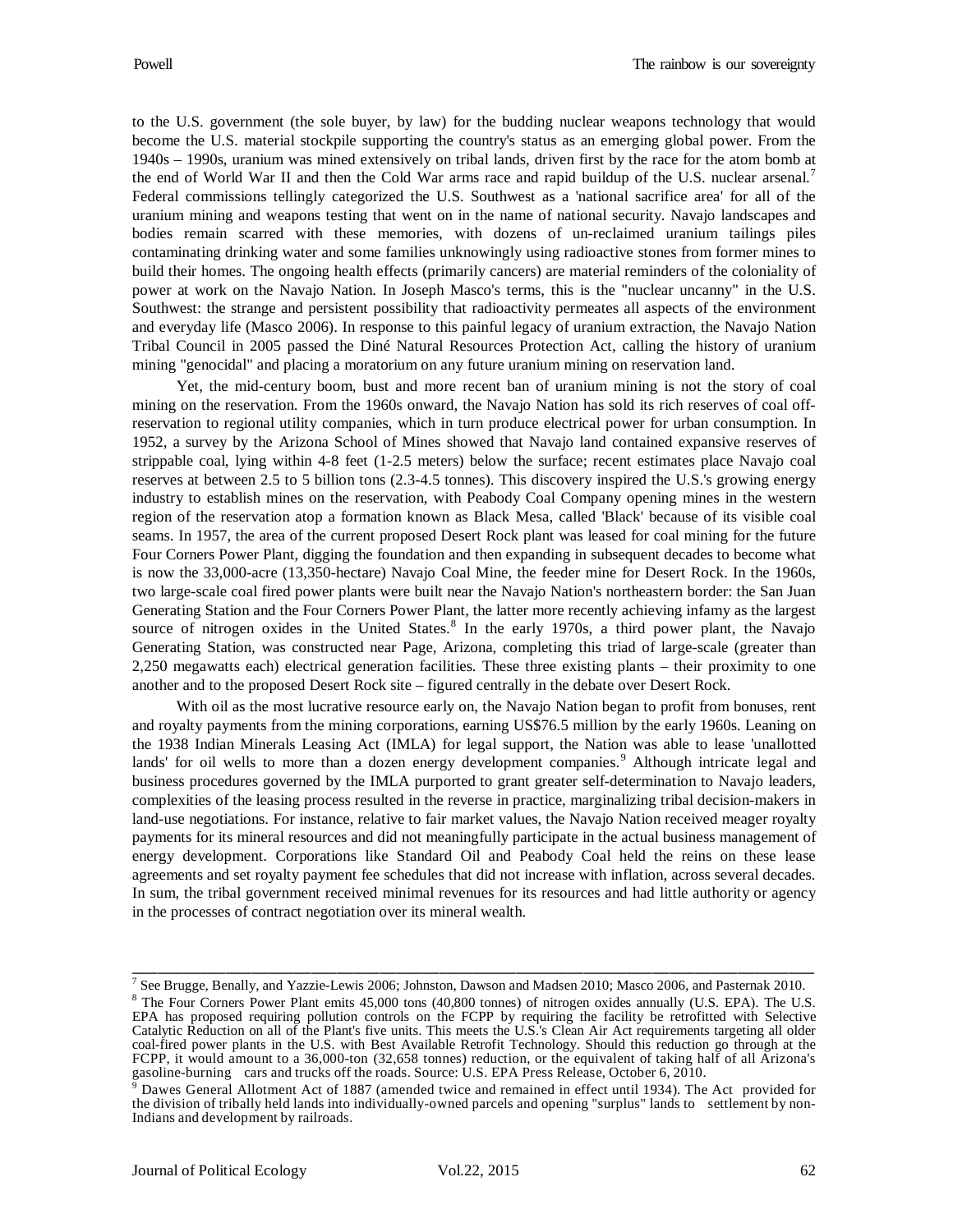to the U.S. government (the sole buyer, by law) for the budding nuclear weapons technology that would become the U.S. material stockpile supporting the country's status as an emerging global power. From the 1940s – 1990s, uranium was mined extensively on tribal lands, driven first by the race for the atom bomb at the end of World War II and then the Cold War arms race and rapid buildup of the U.S. nuclear arsenal.<sup>[7](#page-9-0)</sup> Federal commissions tellingly categorized the U.S. Southwest as a 'national sacrifice area' for all of the uranium mining and weapons testing that went on in the name of national security. Navajo landscapes and bodies remain scarred with these memories, with dozens of un-reclaimed uranium tailings piles contaminating drinking water and some families unknowingly using radioactive stones from former mines to build their homes. The ongoing health effects (primarily cancers) are material reminders of the coloniality of power at work on the Navajo Nation. In Joseph Masco's terms, this is the "nuclear uncanny" in the U.S. Southwest: the strange and persistent possibility that radioactivity permeates all aspects of the environment and everyday life (Masco 2006). In response to this painful legacy of uranium extraction, the Navajo Nation Tribal Council in 2005 passed the Diné Natural Resources Protection Act, calling the history of uranium mining "genocidal" and placing a moratorium on any future uranium mining on reservation land.

Yet, the mid-century boom, bust and more recent ban of uranium mining is not the story of coal mining on the reservation. From the 1960s onward, the Navajo Nation has sold its rich reserves of coal offreservation to regional utility companies, which in turn produce electrical power for urban consumption. In 1952, a survey by the Arizona School of Mines showed that Navajo land contained expansive reserves of strippable coal, lying within 4-8 feet (1-2.5 meters) below the surface; recent estimates place Navajo coal reserves at between 2.5 to 5 billion tons (2.3-4.5 tonnes). This discovery inspired the U.S.'s growing energy industry to establish mines on the reservation, with Peabody Coal Company opening mines in the western region of the reservation atop a formation known as Black Mesa, called 'Black' because of its visible coal seams. In 1957, the area of the current proposed Desert Rock plant was leased for coal mining for the future Four Corners Power Plant, digging the foundation and then expanding in subsequent decades to become what is now the 33,000-acre (13,350-hectare) Navajo Coal Mine, the feeder mine for Desert Rock. In the 1960s, two large-scale coal fired power plants were built near the Navajo Nation's northeastern border: the San Juan Generating Station and the Four Corners Power Plant, the latter more recently achieving infamy as the largest source of nitrogen oxides in the United States.<sup>[8](#page-9-1)</sup> In the early 1970s, a third power plant, the Navajo Generating Station, was constructed near Page, Arizona, completing this triad of large-scale (greater than 2,250 megawatts each) electrical generation facilities. These three existing plants – their proximity to one another and to the proposed Desert Rock site – figured centrally in the debate over Desert Rock.

With oil as the most lucrative resource early on, the Navajo Nation began to profit from bonuses, rent and royalty payments from the mining corporations, earning US\$76.5 million by the early 1960s. Leaning on the 1938 Indian Minerals Leasing Act (IMLA) for legal support, the Nation was able to lease 'unallotted lands' for oil wells to more than a dozen energy development companies.<sup>[9](#page-9-2)</sup> Although intricate legal and business procedures governed by the IMLA purported to grant greater self-determination to Navajo leaders, complexities of the leasing process resulted in the reverse in practice, marginalizing tribal decision-makers in land-use negotiations. For instance, relative to fair market values, the Navajo Nation received meager royalty payments for its mineral resources and did not meaningfully participate in the actual business management of energy development. Corporations like Standard Oil and Peabody Coal held the reins on these lease agreements and set royalty payment fee schedules that did not increase with inflation, across several decades. In sum, the tribal government received minimal revenues for its resources and had little authority or agency in the processes of contract negotiation over its mineral wealth.

<span id="page-9-1"></span><span id="page-9-0"></span><sup>&</sup>lt;sup>7</sup> See Brugge, Benally, and Yazzie-Lewis 2006; Johnston, Dawson and Madsen 2010; Masco 2006, and Pasternak 2010. <sup>8</sup> The Four Corners Power Plant emits 45,000 tons (40,800 tonnes) of nitrogen oxides annually (U.S. EPA). The U.S. EPA has proposed requiring pollution controls on the FCPP by requiring the facility be retrofitted with Selective Catalytic Reduction on all of the Plant's five units. This meets the U.S.'s Clean Air Act requirements targeting all older coal-fired power plants in the U.S. with Best Available Retrofit Technology. Should this reduction go through at the FCPP, it would amount to a 36,000-ton (32,658 tonnes) reduction, or the equivalent of taking half of all Arizona's gasoline-burning cars and trucks off the roads. Source: U.S. EPA Press Release, October 6, 2010.

<span id="page-9-2"></span><sup>&</sup>lt;sup>9</sup> Dawes General Allotment Act of 1887 (amended twice and remained in effect until 1934). The Act provided for the division of tribally held lands into individually-owned parcels and opening "surplus" lands to settlement by non-Indians and development by railroads.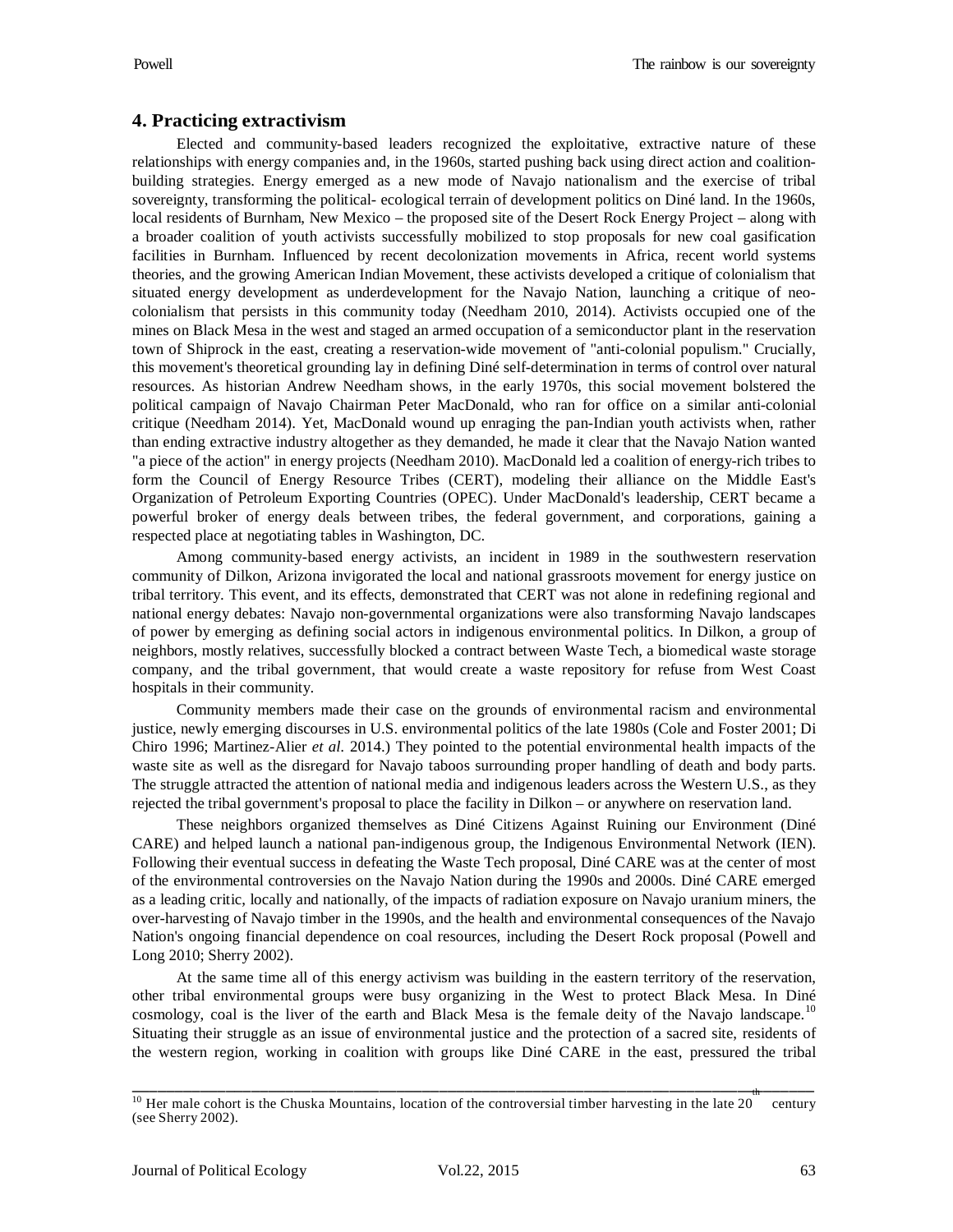## **4. Practicing extractivism**

Elected and community-based leaders recognized the exploitative, extractive nature of these relationships with energy companies and, in the 1960s, started pushing back using direct action and coalitionbuilding strategies. Energy emerged as a new mode of Navajo nationalism and the exercise of tribal sovereignty, transforming the political- ecological terrain of development politics on Diné land. In the 1960s, local residents of Burnham, New Mexico – the proposed site of the Desert Rock Energy Project – along with a broader coalition of youth activists successfully mobilized to stop proposals for new coal gasification facilities in Burnham. Influenced by recent decolonization movements in Africa, recent world systems theories, and the growing American Indian Movement, these activists developed a critique of colonialism that situated energy development as underdevelopment for the Navajo Nation, launching a critique of neocolonialism that persists in this community today (Needham 2010, 2014). Activists occupied one of the mines on Black Mesa in the west and staged an armed occupation of a semiconductor plant in the reservation town of Shiprock in the east, creating a reservation-wide movement of "anti-colonial populism." Crucially, this movement's theoretical grounding lay in defining Diné self-determination in terms of control over natural resources. As historian Andrew Needham shows, in the early 1970s, this social movement bolstered the political campaign of Navajo Chairman Peter MacDonald, who ran for office on a similar anti-colonial critique (Needham 2014). Yet, MacDonald wound up enraging the pan-Indian youth activists when, rather than ending extractive industry altogether as they demanded, he made it clear that the Navajo Nation wanted "a piece of the action" in energy projects (Needham 2010). MacDonald led a coalition of energy-rich tribes to form the Council of Energy Resource Tribes (CERT), modeling their alliance on the Middle East's Organization of Petroleum Exporting Countries (OPEC). Under MacDonald's leadership, CERT became a powerful broker of energy deals between tribes, the federal government, and corporations, gaining a respected place at negotiating tables in Washington, DC.

Among community-based energy activists, an incident in 1989 in the southwestern reservation community of Dilkon, Arizona invigorated the local and national grassroots movement for energy justice on tribal territory. This event, and its effects, demonstrated that CERT was not alone in redefining regional and national energy debates: Navajo non-governmental organizations were also transforming Navajo landscapes of power by emerging as defining social actors in indigenous environmental politics. In Dilkon, a group of neighbors, mostly relatives, successfully blocked a contract between Waste Tech, a biomedical waste storage company, and the tribal government, that would create a waste repository for refuse from West Coast hospitals in their community.

Community members made their case on the grounds of environmental racism and environmental justice, newly emerging discourses in U.S. environmental politics of the late 1980s (Cole and Foster 2001; Di Chiro 1996; Martinez-Alier *et al.* 2014.) They pointed to the potential environmental health impacts of the waste site as well as the disregard for Navajo taboos surrounding proper handling of death and body parts. The struggle attracted the attention of national media and indigenous leaders across the Western U.S., as they rejected the tribal government's proposal to place the facility in Dilkon – or anywhere on reservation land.

These neighbors organized themselves as Diné Citizens Against Ruining our Environment (Diné CARE) and helped launch a national pan-indigenous group, the Indigenous Environmental Network (IEN). Following their eventual success in defeating the Waste Tech proposal, Diné CARE was at the center of most of the environmental controversies on the Navajo Nation during the 1990s and 2000s. Diné CARE emerged as a leading critic, locally and nationally, of the impacts of radiation exposure on Navajo uranium miners, the over-harvesting of Navajo timber in the 1990s, and the health and environmental consequences of the Navajo Nation's ongoing financial dependence on coal resources, including the Desert Rock proposal (Powell and Long 2010; Sherry 2002).

At the same time all of this energy activism was building in the eastern territory of the reservation, other tribal environmental groups were busy organizing in the West to protect Black Mesa. In Diné cosmology, coal is the liver of the earth and Black Mesa is the female deity of the Navajo landscape.<sup>[10](#page-10-0)</sup> Situating their struggle as an issue of environmental justice and the protection of a sacred site, residents of the western region, working in coalition with groups like Diné CARE in the east, pressured the tribal

<span id="page-10-0"></span><sup>&</sup>lt;sup>10</sup> Her male cohort is the Chuska Mountains, location of the controversial timber harvesting in the late  $20$  century (see Sherry 2002). \_\_\_\_\_\_\_\_\_\_\_\_\_\_\_\_\_\_\_\_\_\_\_\_\_\_\_\_\_\_\_\_\_\_\_\_\_\_\_\_\_\_\_\_\_\_\_\_\_\_\_\_\_\_\_\_\_\_\_\_\_\_\_\_\_\_\_\_\_\_\_\_\_\_\_\_\_\_\_\_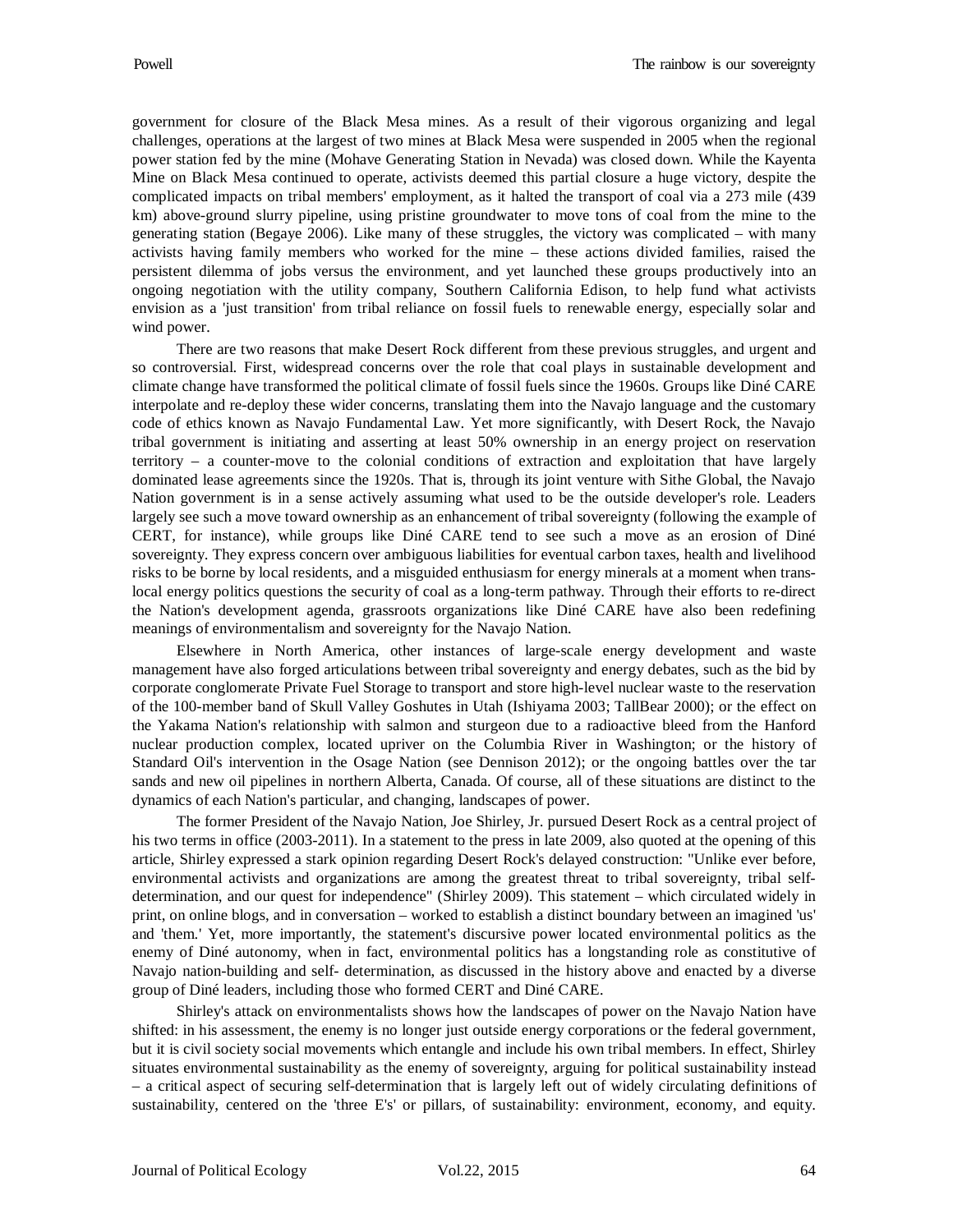government for closure of the Black Mesa mines. As a result of their vigorous organizing and legal challenges, operations at the largest of two mines at Black Mesa were suspended in 2005 when the regional power station fed by the mine (Mohave Generating Station in Nevada) was closed down. While the Kayenta Mine on Black Mesa continued to operate, activists deemed this partial closure a huge victory, despite the complicated impacts on tribal members' employment, as it halted the transport of coal via a 273 mile (439 km) above-ground slurry pipeline, using pristine groundwater to move tons of coal from the mine to the generating station (Begaye 2006). Like many of these struggles, the victory was complicated – with many activists having family members who worked for the mine – these actions divided families, raised the persistent dilemma of jobs versus the environment, and yet launched these groups productively into an ongoing negotiation with the utility company, Southern California Edison, to help fund what activists envision as a 'just transition' from tribal reliance on fossil fuels to renewable energy, especially solar and wind power.

There are two reasons that make Desert Rock different from these previous struggles, and urgent and so controversial. First, widespread concerns over the role that coal plays in sustainable development and climate change have transformed the political climate of fossil fuels since the 1960s. Groups like Diné CARE interpolate and re-deploy these wider concerns, translating them into the Navajo language and the customary code of ethics known as Navajo Fundamental Law. Yet more significantly, with Desert Rock, the Navajo tribal government is initiating and asserting at least 50% ownership in an energy project on reservation territory – a counter-move to the colonial conditions of extraction and exploitation that have largely dominated lease agreements since the 1920s. That is, through its joint venture with Sithe Global, the Navajo Nation government is in a sense actively assuming what used to be the outside developer's role. Leaders largely see such a move toward ownership as an enhancement of tribal sovereignty (following the example of CERT, for instance), while groups like Diné CARE tend to see such a move as an erosion of Diné sovereignty. They express concern over ambiguous liabilities for eventual carbon taxes, health and livelihood risks to be borne by local residents, and a misguided enthusiasm for energy minerals at a moment when translocal energy politics questions the security of coal as a long-term pathway. Through their efforts to re-direct the Nation's development agenda, grassroots organizations like Diné CARE have also been redefining meanings of environmentalism and sovereignty for the Navajo Nation.

Elsewhere in North America, other instances of large-scale energy development and waste management have also forged articulations between tribal sovereignty and energy debates, such as the bid by corporate conglomerate Private Fuel Storage to transport and store high-level nuclear waste to the reservation of the 100-member band of Skull Valley Goshutes in Utah (Ishiyama 2003; TallBear 2000); or the effect on the Yakama Nation's relationship with salmon and sturgeon due to a radioactive bleed from the Hanford nuclear production complex, located upriver on the Columbia River in Washington; or the history of Standard Oil's intervention in the Osage Nation (see Dennison 2012); or the ongoing battles over the tar sands and new oil pipelines in northern Alberta, Canada. Of course, all of these situations are distinct to the dynamics of each Nation's particular, and changing, landscapes of power.

The former President of the Navajo Nation, Joe Shirley, Jr. pursued Desert Rock as a central project of his two terms in office (2003-2011). In a statement to the press in late 2009, also quoted at the opening of this article, Shirley expressed a stark opinion regarding Desert Rock's delayed construction: "Unlike ever before, environmental activists and organizations are among the greatest threat to tribal sovereignty, tribal selfdetermination, and our quest for independence" (Shirley 2009). This statement – which circulated widely in print, on online blogs, and in conversation – worked to establish a distinct boundary between an imagined 'us' and 'them.' Yet, more importantly, the statement's discursive power located environmental politics as the enemy of Diné autonomy, when in fact, environmental politics has a longstanding role as constitutive of Navajo nation-building and self- determination, as discussed in the history above and enacted by a diverse group of Diné leaders, including those who formed CERT and Diné CARE.

Shirley's attack on environmentalists shows how the landscapes of power on the Navajo Nation have shifted: in his assessment, the enemy is no longer just outside energy corporations or the federal government, but it is civil society social movements which entangle and include his own tribal members. In effect, Shirley situates environmental sustainability as the enemy of sovereignty, arguing for political sustainability instead – a critical aspect of securing self-determination that is largely left out of widely circulating definitions of sustainability, centered on the 'three E's' or pillars, of sustainability: environment, economy, and equity.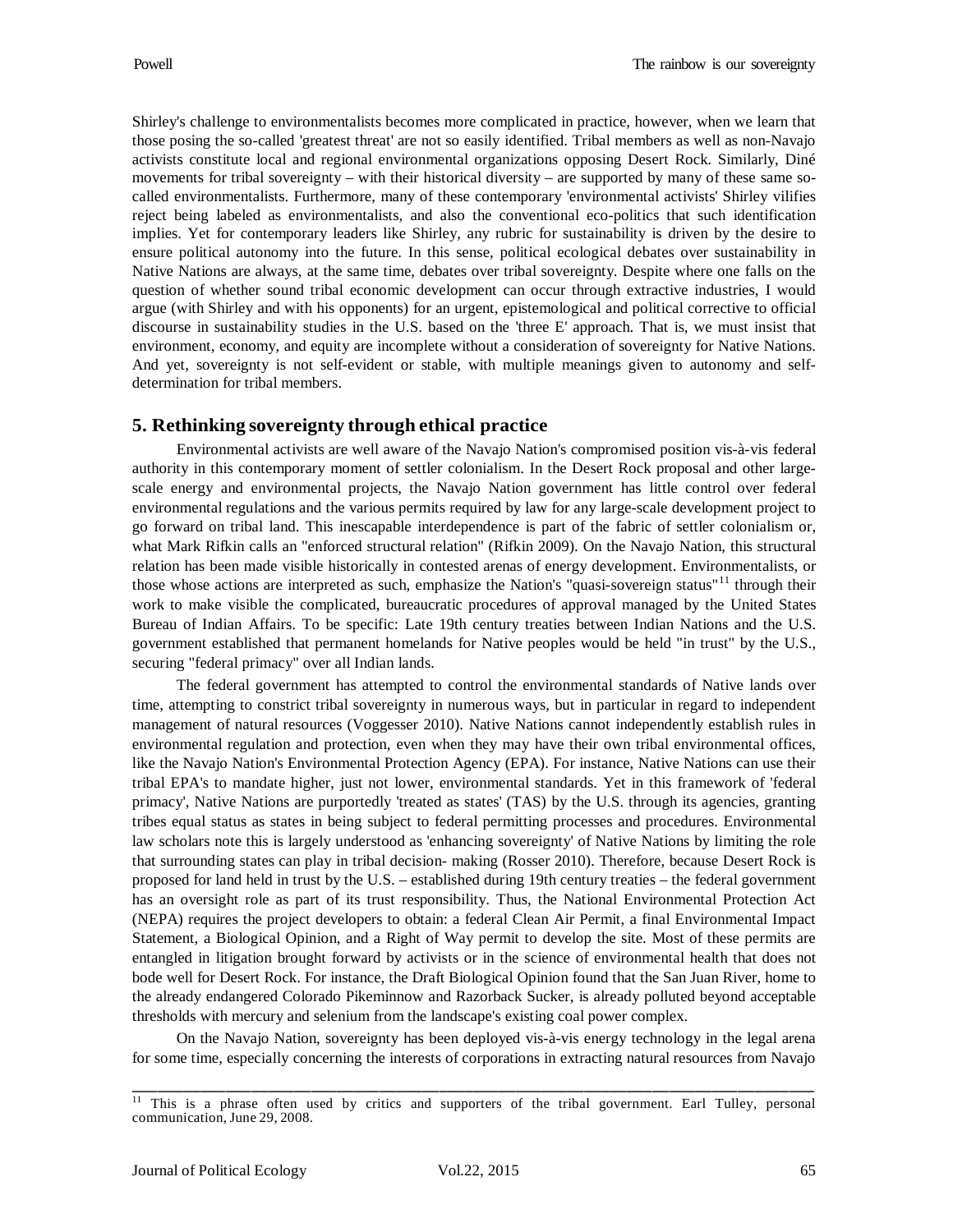Shirley's challenge to environmentalists becomes more complicated in practice, however, when we learn that those posing the so-called 'greatest threat' are not so easily identified. Tribal members as well as non-Navajo activists constitute local and regional environmental organizations opposing Desert Rock. Similarly, Diné movements for tribal sovereignty – with their historical diversity – are supported by many of these same socalled environmentalists. Furthermore, many of these contemporary 'environmental activists' Shirley vilifies reject being labeled as environmentalists, and also the conventional eco-politics that such identification implies. Yet for contemporary leaders like Shirley, any rubric for sustainability is driven by the desire to ensure political autonomy into the future. In this sense, political ecological debates over sustainability in Native Nations are always, at the same time, debates over tribal sovereignty. Despite where one falls on the question of whether sound tribal economic development can occur through extractive industries, I would argue (with Shirley and with his opponents) for an urgent, epistemological and political corrective to official discourse in sustainability studies in the U.S. based on the 'three E' approach. That is, we must insist that environment, economy, and equity are incomplete without a consideration of sovereignty for Native Nations. And yet, sovereignty is not self-evident or stable, with multiple meanings given to autonomy and selfdetermination for tribal members.

## **5. Rethinking sovereignty through ethical practice**

Environmental activists are well aware of the Navajo Nation's compromised position vis-à-vis federal authority in this contemporary moment of settler colonialism. In the Desert Rock proposal and other largescale energy and environmental projects, the Navajo Nation government has little control over federal environmental regulations and the various permits required by law for any large-scale development project to go forward on tribal land. This inescapable interdependence is part of the fabric of settler colonialism or, what Mark Rifkin calls an "enforced structural relation" (Rifkin 2009). On the Navajo Nation, this structural relation has been made visible historically in contested arenas of energy development. Environmentalists, or those whose actions are interpreted as such, emphasize the Nation's "quasi-sovereign status"<sup>[11](#page-12-0)</sup> through their work to make visible the complicated, bureaucratic procedures of approval managed by the United States Bureau of Indian Affairs. To be specific: Late 19th century treaties between Indian Nations and the U.S. government established that permanent homelands for Native peoples would be held "in trust" by the U.S., securing "federal primacy" over all Indian lands.

The federal government has attempted to control the environmental standards of Native lands over time, attempting to constrict tribal sovereignty in numerous ways, but in particular in regard to independent management of natural resources (Voggesser 2010). Native Nations cannot independently establish rules in environmental regulation and protection, even when they may have their own tribal environmental offices, like the Navajo Nation's Environmental Protection Agency (EPA). For instance, Native Nations can use their tribal EPA's to mandate higher, just not lower, environmental standards. Yet in this framework of 'federal primacy', Native Nations are purportedly 'treated as states' (TAS) by the U.S. through its agencies, granting tribes equal status as states in being subject to federal permitting processes and procedures. Environmental law scholars note this is largely understood as 'enhancing sovereignty' of Native Nations by limiting the role that surrounding states can play in tribal decision- making (Rosser 2010). Therefore, because Desert Rock is proposed for land held in trust by the U.S. – established during 19th century treaties – the federal government has an oversight role as part of its trust responsibility. Thus, the National Environmental Protection Act (NEPA) requires the project developers to obtain: a federal Clean Air Permit, a final Environmental Impact Statement, a Biological Opinion, and a Right of Way permit to develop the site. Most of these permits are entangled in litigation brought forward by activists or in the science of environmental health that does not bode well for Desert Rock. For instance, the Draft Biological Opinion found that the San Juan River, home to the already endangered Colorado Pikeminnow and Razorback Sucker, is already polluted beyond acceptable thresholds with mercury and selenium from the landscape's existing coal power complex.

On the Navajo Nation, sovereignty has been deployed vis-à-vis energy technology in the legal arena for some time, especially concerning the interests of corporations in extracting natural resources from Navajo

<span id="page-12-0"></span><sup>&</sup>lt;sup>11</sup> This is a phrase often used by critics and supporters of the tribal government. Earl Tulley, personal communication, June 29, 2008. \_\_\_\_\_\_\_\_\_\_\_\_\_\_\_\_\_\_\_\_\_\_\_\_\_\_\_\_\_\_\_\_\_\_\_\_\_\_\_\_\_\_\_\_\_\_\_\_\_\_\_\_\_\_\_\_\_\_\_\_\_\_\_\_\_\_\_\_\_\_\_\_\_\_\_\_\_\_\_\_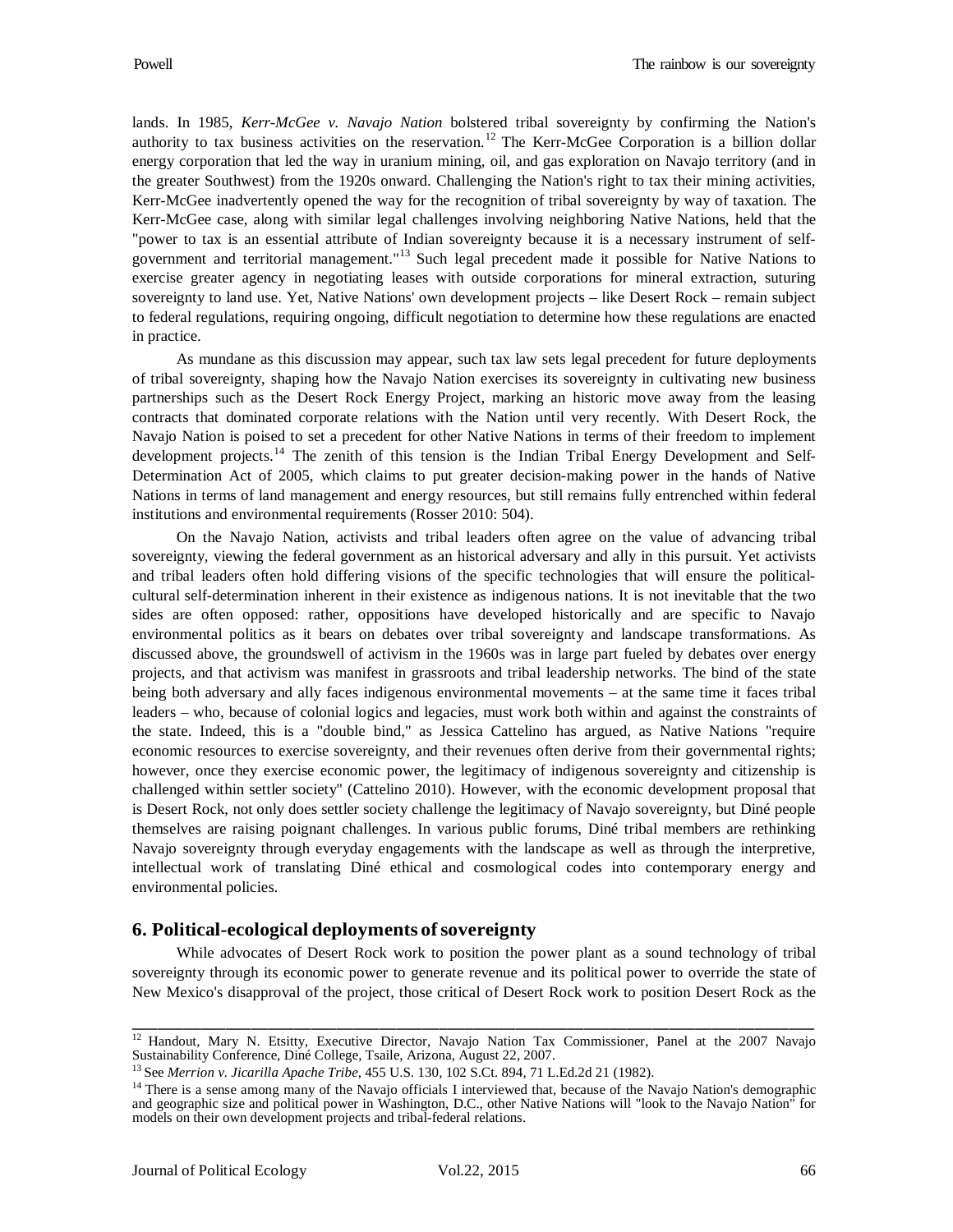lands. In 1985, *Kerr-McGee v. Navajo Nation* bolstered tribal sovereignty by confirming the Nation's authority to tax business activities on the reservation.<sup>[12](#page-13-0)</sup> The Kerr-McGee Corporation is a billion dollar energy corporation that led the way in uranium mining, oil, and gas exploration on Navajo territory (and in the greater Southwest) from the 1920s onward. Challenging the Nation's right to tax their mining activities, Kerr-McGee inadvertently opened the way for the recognition of tribal sovereignty by way of taxation. The Kerr-McGee case, along with similar legal challenges involving neighboring Native Nations, held that the "power to tax is an essential attribute of Indian sovereignty because it is a necessary instrument of self-government and territorial management."<sup>[13](#page-13-1)</sup> Such legal precedent made it possible for Native Nations to exercise greater agency in negotiating leases with outside corporations for mineral extraction, suturing sovereignty to land use. Yet, Native Nations' own development projects – like Desert Rock – remain subject to federal regulations, requiring ongoing, difficult negotiation to determine how these regulations are enacted in practice.

As mundane as this discussion may appear, such tax law sets legal precedent for future deployments of tribal sovereignty, shaping how the Navajo Nation exercises its sovereignty in cultivating new business partnerships such as the Desert Rock Energy Project, marking an historic move away from the leasing contracts that dominated corporate relations with the Nation until very recently. With Desert Rock, the Navajo Nation is poised to set a precedent for other Native Nations in terms of their freedom to implement development projects.<sup>[14](#page-13-2)</sup> The zenith of this tension is the Indian Tribal Energy Development and Self-Determination Act of 2005, which claims to put greater decision-making power in the hands of Native Nations in terms of land management and energy resources, but still remains fully entrenched within federal institutions and environmental requirements (Rosser 2010: 504).

On the Navajo Nation, activists and tribal leaders often agree on the value of advancing tribal sovereignty, viewing the federal government as an historical adversary and ally in this pursuit. Yet activists and tribal leaders often hold differing visions of the specific technologies that will ensure the politicalcultural self-determination inherent in their existence as indigenous nations. It is not inevitable that the two sides are often opposed: rather, oppositions have developed historically and are specific to Navajo environmental politics as it bears on debates over tribal sovereignty and landscape transformations. As discussed above, the groundswell of activism in the 1960s was in large part fueled by debates over energy projects, and that activism was manifest in grassroots and tribal leadership networks. The bind of the state being both adversary and ally faces indigenous environmental movements – at the same time it faces tribal leaders – who, because of colonial logics and legacies, must work both within and against the constraints of the state. Indeed, this is a "double bind," as Jessica Cattelino has argued, as Native Nations "require economic resources to exercise sovereignty, and their revenues often derive from their governmental rights; however, once they exercise economic power, the legitimacy of indigenous sovereignty and citizenship is challenged within settler society" (Cattelino 2010). However, with the economic development proposal that is Desert Rock, not only does settler society challenge the legitimacy of Navajo sovereignty, but Diné people themselves are raising poignant challenges. In various public forums, Diné tribal members are rethinking Navajo sovereignty through everyday engagements with the landscape as well as through the interpretive, intellectual work of translating Diné ethical and cosmological codes into contemporary energy and environmental policies.

## **6. Political-ecological deployments ofsovereignty**

While advocates of Desert Rock work to position the power plant as a sound technology of tribal sovereignty through its economic power to generate revenue and its political power to override the state of New Mexico's disapproval of the project, those critical of Desert Rock work to position Desert Rock as the

<span id="page-13-0"></span><sup>&</sup>lt;sup>12</sup> Handout, Mary N. Etsitty, Executive Director, Navajo Nation Tax Commissioner, Panel at the 2007 Navajo Sustainability Conference, Diné College, Tsaile, Arizona, August 22, 2007. \_\_\_\_\_\_\_\_\_\_\_\_\_\_\_\_\_\_\_\_\_\_\_\_\_\_\_\_\_\_\_\_\_\_\_\_\_\_\_\_\_\_\_\_\_\_\_\_\_\_\_\_\_\_\_\_\_\_\_\_\_\_\_\_\_\_\_\_\_\_\_\_\_\_\_\_\_\_\_\_

<span id="page-13-1"></span><sup>13</sup> See *Merrion v. Jicarilla Apache Tribe*, 455 U.S. 130, 102 S.Ct. 894, 71 L.Ed.2d 21 (1982).

<span id="page-13-2"></span> $14$  There is a sense among many of the Navajo officials I interviewed that, because of the Navajo Nation's demographic and geographic size and political power in Washington, D.C., other Native Nations will "look to the Navajo Nation" for models on their own development projects and tribal-federal relations.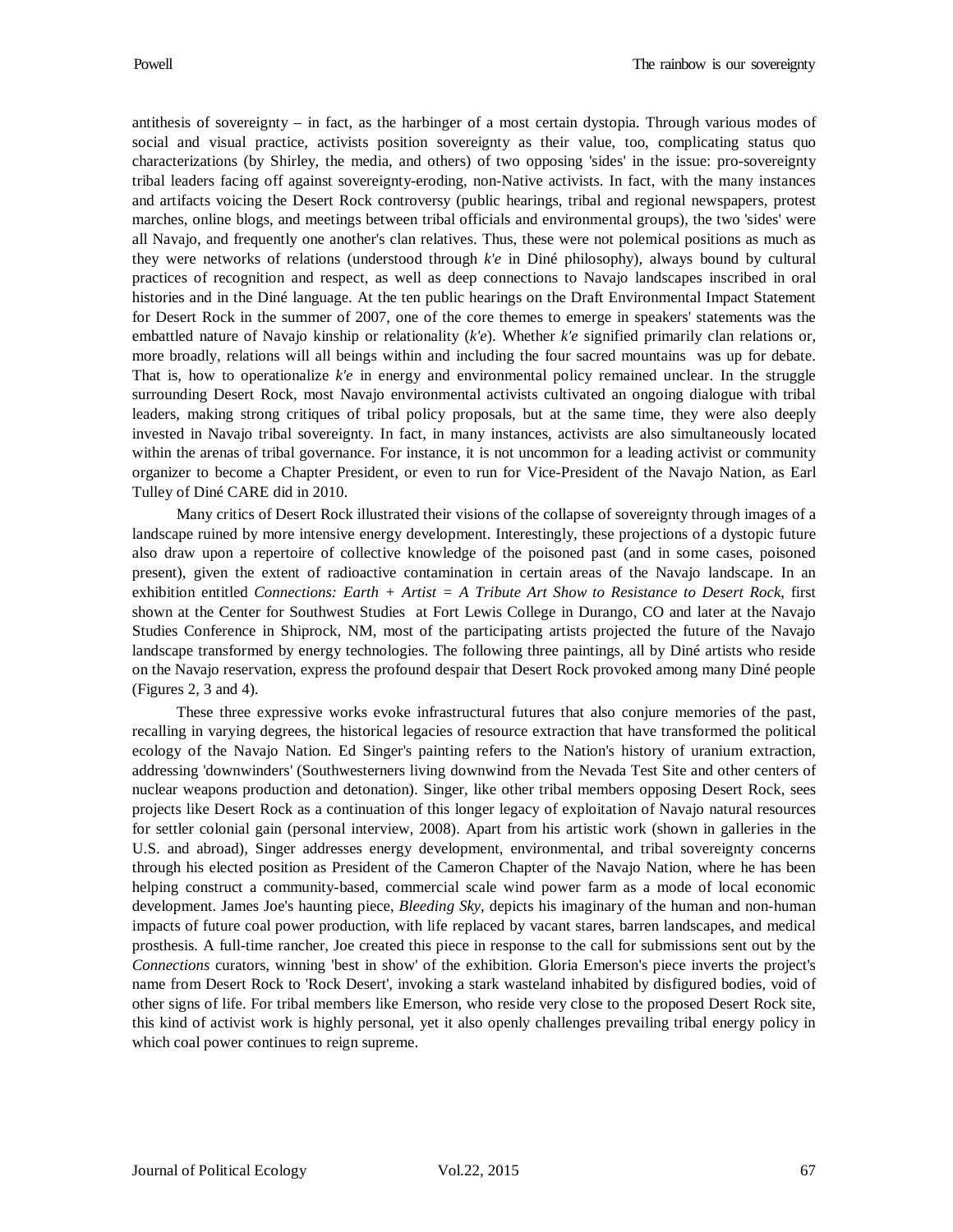antithesis of sovereignty – in fact, as the harbinger of a most certain dystopia. Through various modes of social and visual practice, activists position sovereignty as their value, too, complicating status quo characterizations (by Shirley, the media, and others) of two opposing 'sides' in the issue: pro-sovereignty tribal leaders facing off against sovereignty-eroding, non-Native activists. In fact, with the many instances and artifacts voicing the Desert Rock controversy (public hearings, tribal and regional newspapers, protest marches, online blogs, and meetings between tribal officials and environmental groups), the two 'sides' were all Navajo, and frequently one another's clan relatives. Thus, these were not polemical positions as much as they were networks of relations (understood through *k'e* in Diné philosophy), always bound by cultural practices of recognition and respect, as well as deep connections to Navajo landscapes inscribed in oral histories and in the Diné language. At the ten public hearings on the Draft Environmental Impact Statement for Desert Rock in the summer of 2007, one of the core themes to emerge in speakers' statements was the embattled nature of Navajo kinship or relationality (*k'e*). Whether *k'e* signified primarily clan relations or, more broadly, relations will all beings within and including the four sacred mountains was up for debate. That is, how to operationalize *k'e* in energy and environmental policy remained unclear. In the struggle surrounding Desert Rock, most Navajo environmental activists cultivated an ongoing dialogue with tribal leaders, making strong critiques of tribal policy proposals, but at the same time, they were also deeply invested in Navajo tribal sovereignty. In fact, in many instances, activists are also simultaneously located within the arenas of tribal governance. For instance, it is not uncommon for a leading activist or community organizer to become a Chapter President, or even to run for Vice-President of the Navajo Nation, as Earl Tulley of Diné CARE did in 2010.

Many critics of Desert Rock illustrated their visions of the collapse of sovereignty through images of a landscape ruined by more intensive energy development. Interestingly, these projections of a dystopic future also draw upon a repertoire of collective knowledge of the poisoned past (and in some cases, poisoned present), given the extent of radioactive contamination in certain areas of the Navajo landscape. In an exhibition entitled *Connections: Earth + Artist = A Tribute Art Show to Resistance to Desert Rock*, first shown at the Center for Southwest Studies at Fort Lewis College in Durango, CO and later at the Navajo Studies Conference in Shiprock, NM, most of the participating artists projected the future of the Navajo landscape transformed by energy technologies. The following three paintings, all by Diné artists who reside on the Navajo reservation, express the profound despair that Desert Rock provoked among many Diné people (Figures 2, 3 and 4).

These three expressive works evoke infrastructural futures that also conjure memories of the past, recalling in varying degrees, the historical legacies of resource extraction that have transformed the political ecology of the Navajo Nation. Ed Singer's painting refers to the Nation's history of uranium extraction, addressing 'downwinders' (Southwesterners living downwind from the Nevada Test Site and other centers of nuclear weapons production and detonation). Singer, like other tribal members opposing Desert Rock, sees projects like Desert Rock as a continuation of this longer legacy of exploitation of Navajo natural resources for settler colonial gain (personal interview, 2008). Apart from his artistic work (shown in galleries in the U.S. and abroad), Singer addresses energy development, environmental, and tribal sovereignty concerns through his elected position as President of the Cameron Chapter of the Navajo Nation, where he has been helping construct a community-based, commercial scale wind power farm as a mode of local economic development. James Joe's haunting piece, *Bleeding Sky*, depicts his imaginary of the human and non-human impacts of future coal power production, with life replaced by vacant stares, barren landscapes, and medical prosthesis. A full-time rancher, Joe created this piece in response to the call for submissions sent out by the *Connections* curators, winning 'best in show' of the exhibition. Gloria Emerson's piece inverts the project's name from Desert Rock to 'Rock Desert', invoking a stark wasteland inhabited by disfigured bodies, void of other signs of life. For tribal members like Emerson, who reside very close to the proposed Desert Rock site, this kind of activist work is highly personal, yet it also openly challenges prevailing tribal energy policy in which coal power continues to reign supreme.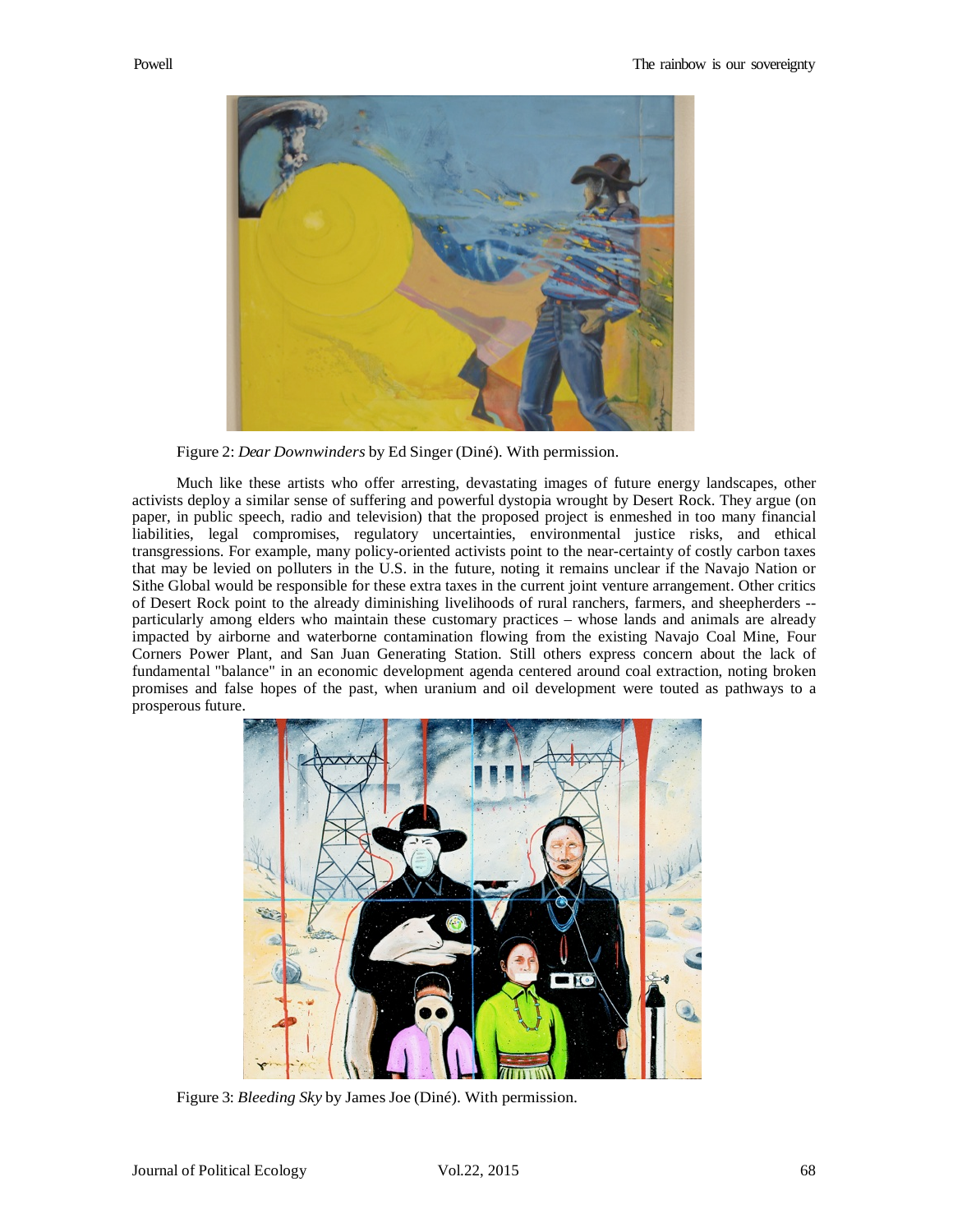

Figure 2: *Dear Downwinders* by Ed Singer (Diné). With permission.

Much like these artists who offer arresting, devastating images of future energy landscapes, other activists deploy a similar sense of suffering and powerful dystopia wrought by Desert Rock. They argue (on paper, in public speech, radio and television) that the proposed project is enmeshed in too many financial liabilities, legal compromises, regulatory uncertainties, environmental justice risks, and ethical transgressions. For example, many policy-oriented activists point to the near-certainty of costly carbon taxes that may be levied on polluters in the U.S. in the future, noting it remains unclear if the Navajo Nation or Sithe Global would be responsible for these extra taxes in the current joint venture arrangement. Other critics of Desert Rock point to the already diminishing livelihoods of rural ranchers, farmers, and sheepherders - particularly among elders who maintain these customary practices – whose lands and animals are already impacted by airborne and waterborne contamination flowing from the existing Navajo Coal Mine, Four Corners Power Plant, and San Juan Generating Station. Still others express concern about the lack of fundamental "balance" in an economic development agenda centered around coal extraction, noting broken promises and false hopes of the past, when uranium and oil development were touted as pathways to a prosperous future.



Figure 3: *Bleeding Sky* by James Joe (Diné). With permission.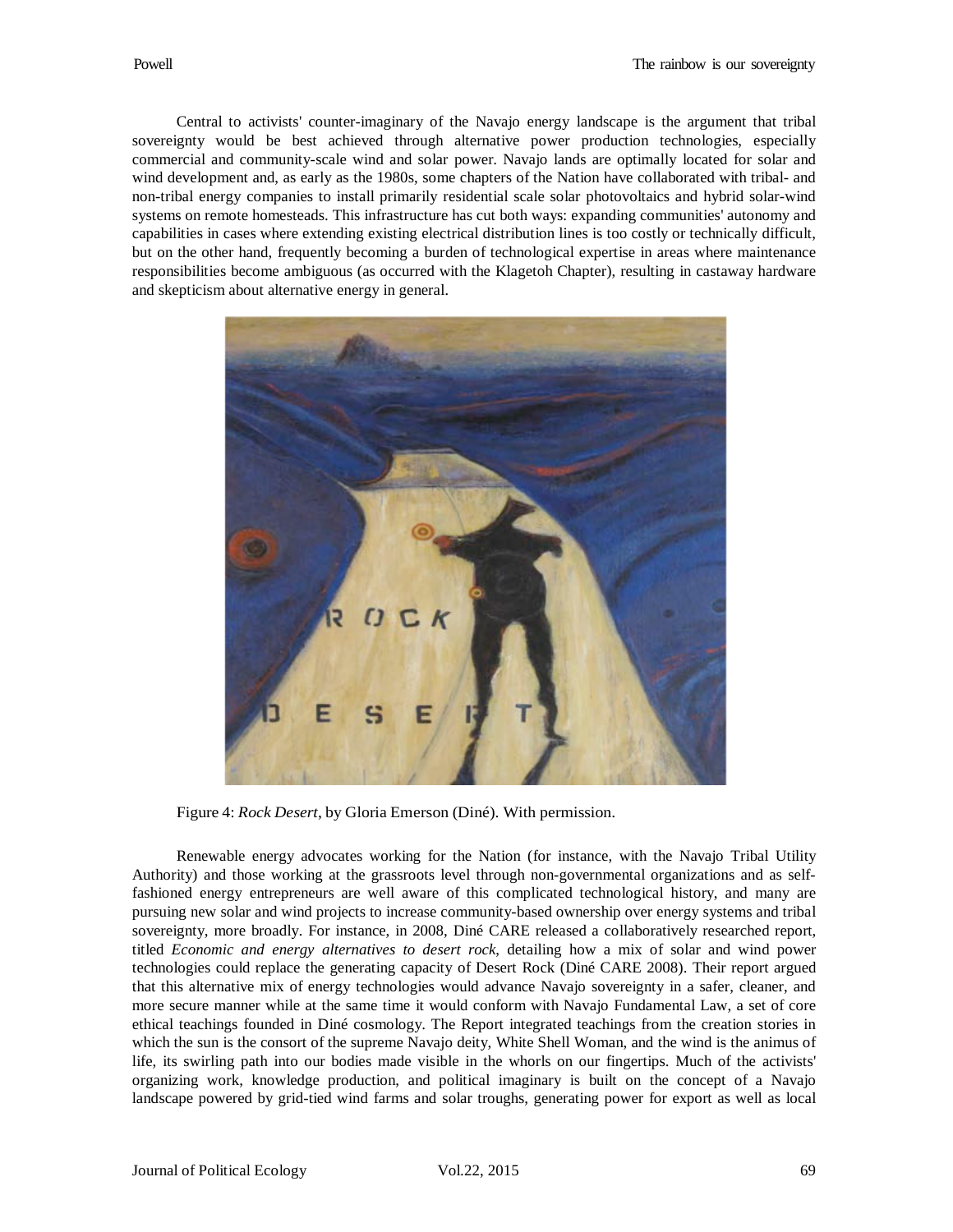Central to activists' counter-imaginary of the Navajo energy landscape is the argument that tribal sovereignty would be best achieved through alternative power production technologies, especially commercial and community-scale wind and solar power. Navajo lands are optimally located for solar and wind development and, as early as the 1980s, some chapters of the Nation have collaborated with tribal- and non-tribal energy companies to install primarily residential scale solar photovoltaics and hybrid solar-wind systems on remote homesteads. This infrastructure has cut both ways: expanding communities' autonomy and capabilities in cases where extending existing electrical distribution lines is too costly or technically difficult, but on the other hand, frequently becoming a burden of technological expertise in areas where maintenance responsibilities become ambiguous (as occurred with the Klagetoh Chapter), resulting in castaway hardware and skepticism about alternative energy in general.



Figure 4: *Rock Desert*, by Gloria Emerson (Diné). With permission.

Renewable energy advocates working for the Nation (for instance, with the Navajo Tribal Utility Authority) and those working at the grassroots level through non-governmental organizations and as selffashioned energy entrepreneurs are well aware of this complicated technological history, and many are pursuing new solar and wind projects to increase community-based ownership over energy systems and tribal sovereignty, more broadly. For instance, in 2008, Diné CARE released a collaboratively researched report, titled *Economic and energy alternatives to desert rock*, detailing how a mix of solar and wind power technologies could replace the generating capacity of Desert Rock (Diné CARE 2008). Their report argued that this alternative mix of energy technologies would advance Navajo sovereignty in a safer, cleaner, and more secure manner while at the same time it would conform with Navajo Fundamental Law, a set of core ethical teachings founded in Diné cosmology. The Report integrated teachings from the creation stories in which the sun is the consort of the supreme Navajo deity, White Shell Woman, and the wind is the animus of life, its swirling path into our bodies made visible in the whorls on our fingertips. Much of the activists' organizing work, knowledge production, and political imaginary is built on the concept of a Navajo landscape powered by grid-tied wind farms and solar troughs, generating power for export as well as local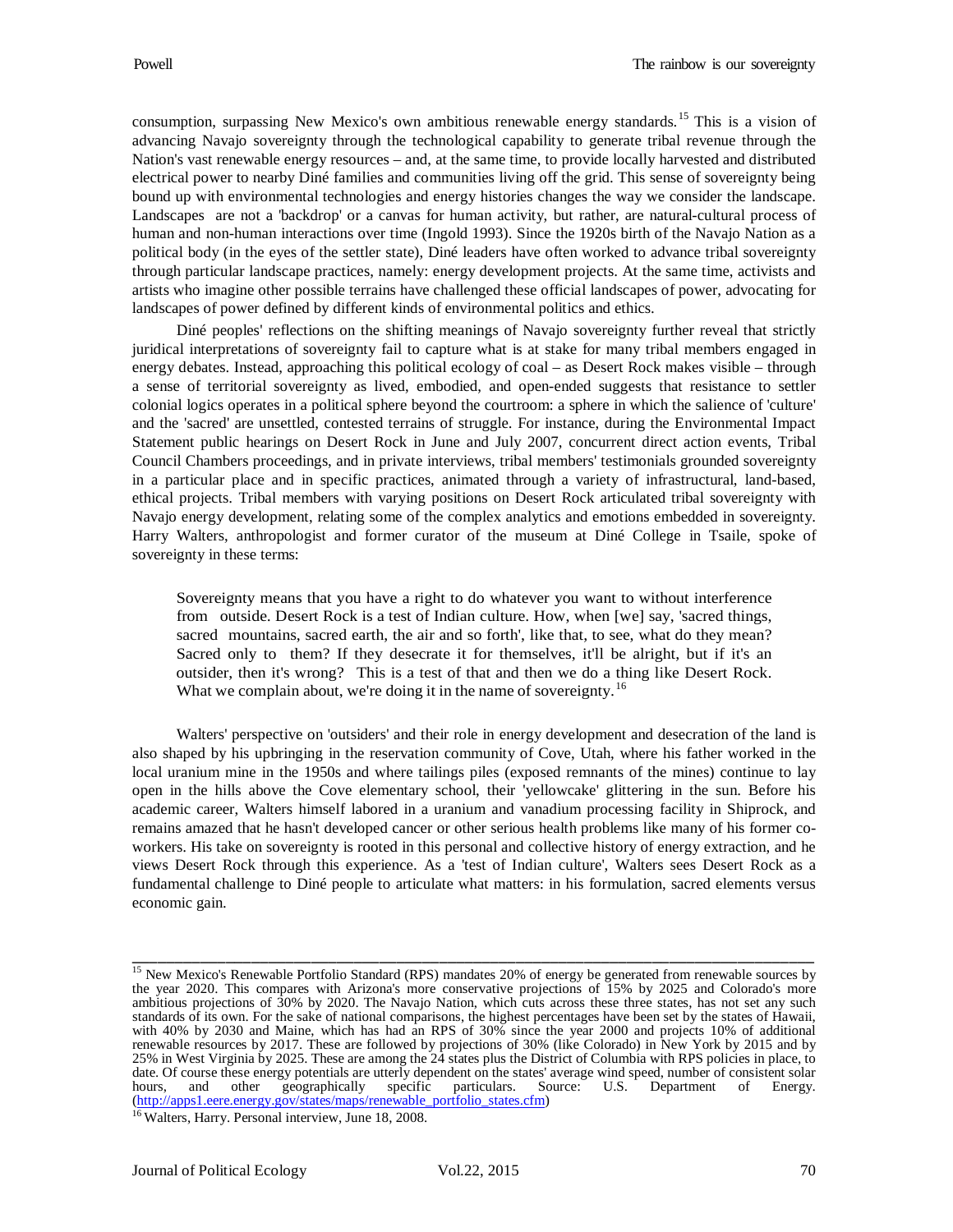consumption, surpassing New Mexico's own ambitious renewable energy standards.<sup>[15](#page-17-0)</sup> This is a vision of advancing Navajo sovereignty through the technological capability to generate tribal revenue through the Nation's vast renewable energy resources – and, at the same time, to provide locally harvested and distributed electrical power to nearby Diné families and communities living off the grid. This sense of sovereignty being bound up with environmental technologies and energy histories changes the way we consider the landscape. Landscapes are not a 'backdrop' or a canvas for human activity, but rather, are natural-cultural process of human and non-human interactions over time (Ingold 1993). Since the 1920s birth of the Navajo Nation as a political body (in the eyes of the settler state), Diné leaders have often worked to advance tribal sovereignty through particular landscape practices, namely: energy development projects. At the same time, activists and artists who imagine other possible terrains have challenged these official landscapes of power, advocating for landscapes of power defined by different kinds of environmental politics and ethics.

Diné peoples' reflections on the shifting meanings of Navajo sovereignty further reveal that strictly juridical interpretations of sovereignty fail to capture what is at stake for many tribal members engaged in energy debates. Instead, approaching this political ecology of coal – as Desert Rock makes visible – through a sense of territorial sovereignty as lived, embodied, and open-ended suggests that resistance to settler colonial logics operates in a political sphere beyond the courtroom: a sphere in which the salience of 'culture' and the 'sacred' are unsettled, contested terrains of struggle. For instance, during the Environmental Impact Statement public hearings on Desert Rock in June and July 2007, concurrent direct action events, Tribal Council Chambers proceedings, and in private interviews, tribal members' testimonials grounded sovereignty in a particular place and in specific practices, animated through a variety of infrastructural, land-based, ethical projects. Tribal members with varying positions on Desert Rock articulated tribal sovereignty with Navajo energy development, relating some of the complex analytics and emotions embedded in sovereignty. Harry Walters, anthropologist and former curator of the museum at Diné College in Tsaile, spoke of sovereignty in these terms:

Sovereignty means that you have a right to do whatever you want to without interference from outside. Desert Rock is a test of Indian culture. How, when [we] say, 'sacred things, sacred mountains, sacred earth, the air and so forth', like that, to see, what do they mean? Sacred only to them? If they desecrate it for themselves, it'll be alright, but if it's an outsider, then it's wrong? This is a test of that and then we do a thing like Desert Rock. What we complain about, we're doing it in the name of sovereignty.<sup>[16](#page-17-1)</sup>

Walters' perspective on 'outsiders' and their role in energy development and desecration of the land is also shaped by his upbringing in the reservation community of Cove, Utah, where his father worked in the local uranium mine in the 1950s and where tailings piles (exposed remnants of the mines) continue to lay open in the hills above the Cove elementary school, their 'yellowcake' glittering in the sun. Before his academic career, Walters himself labored in a uranium and vanadium processing facility in Shiprock, and remains amazed that he hasn't developed cancer or other serious health problems like many of his former coworkers. His take on sovereignty is rooted in this personal and collective history of energy extraction, and he views Desert Rock through this experience. As a 'test of Indian culture', Walters sees Desert Rock as a fundamental challenge to Diné people to articulate what matters: in his formulation, sacred elements versus economic gain.

<span id="page-17-0"></span><sup>&</sup>lt;sup>15</sup> New Mexico's Renewable Portfolio Standard (RPS) mandates 20% of energy be generated from renewable sources by the year 2020. This compares with Arizona's more conservative projections of 15% by 2025 and Colorado's more ambitious projections of 30% by 2020. The Navajo Nation, which cuts across these three states, has not set any such standards of its own. For the sake of national comparisons, the highest percentages have been set by the states of Hawaii, with 40% by 2030 and Maine, which has had an RPS of 30% since the year 2000 and projects 10% of additional renewable resources by 2017. These are followed by projections of 30% (like Colorado) in New York by 2015 and by 25% in West Virginia by 2025. These are among the 24 states plus the District of Columbia with RPS policies in place, to date. Of course these energy potentials are utterly dependent on the states' average wind speed, number of consistent solar hours, and other geographically specific particulars. Source: U.S. Department of Energy. geographically [\(http://apps1.eere.energy.gov/states/maps/renewable\\_portfolio\\_states.cfm\)](http://apps1.eere.energy.gov/states/maps/renewable_portfolio_states.cfm)

<span id="page-17-1"></span><sup>&</sup>lt;sup>16</sup> Walters, Harry. Personal interview, June 18, 2008.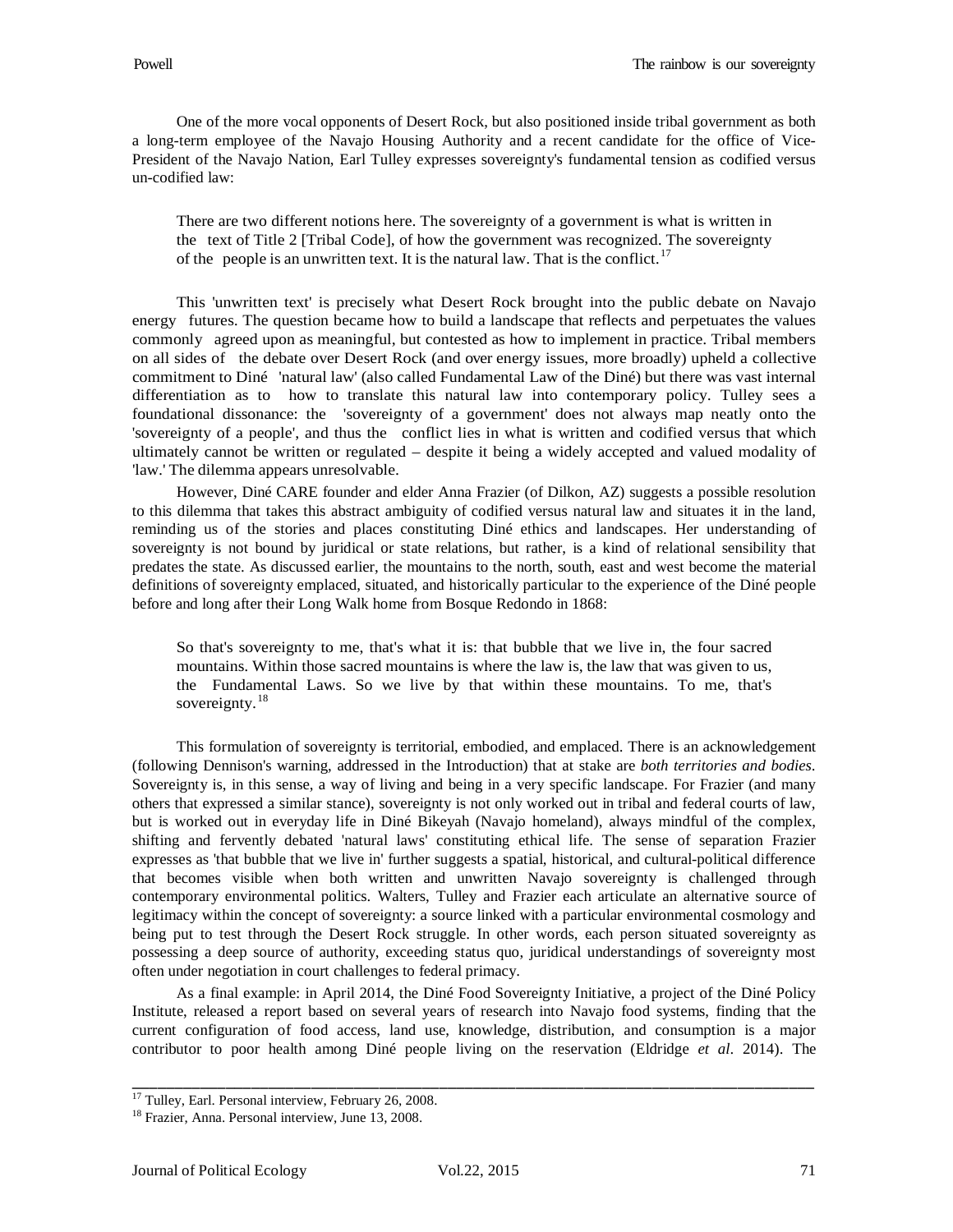One of the more vocal opponents of Desert Rock, but also positioned inside tribal government as both a long-term employee of the Navajo Housing Authority and a recent candidate for the office of Vice-President of the Navajo Nation, Earl Tulley expresses sovereignty's fundamental tension as codified versus un-codified law:

There are two different notions here. The sovereignty of a government is what is written in the text of Title 2 [Tribal Code], of how the government was recognized. The sovereignty of the people is an unwritten text. It is the natural law. That is the conflict.<sup>[17](#page-18-0)</sup>

This 'unwritten text' is precisely what Desert Rock brought into the public debate on Navajo energy futures. The question became how to build a landscape that reflects and perpetuates the values commonly agreed upon as meaningful, but contested as how to implement in practice. Tribal members on all sides of the debate over Desert Rock (and over energy issues, more broadly) upheld a collective commitment to Diné 'natural law' (also called Fundamental Law of the Diné) but there was vast internal differentiation as to how to translate this natural law into contemporary policy. Tulley sees a foundational dissonance: the 'sovereignty of a government' does not always map neatly onto the 'sovereignty of a people', and thus the conflict lies in what is written and codified versus that which ultimately cannot be written or regulated – despite it being a widely accepted and valued modality of 'law.' The dilemma appears unresolvable.

However, Diné CARE founder and elder Anna Frazier (of Dilkon, AZ) suggests a possible resolution to this dilemma that takes this abstract ambiguity of codified versus natural law and situates it in the land, reminding us of the stories and places constituting Diné ethics and landscapes. Her understanding of sovereignty is not bound by juridical or state relations, but rather, is a kind of relational sensibility that predates the state. As discussed earlier, the mountains to the north, south, east and west become the material definitions of sovereignty emplaced, situated, and historically particular to the experience of the Diné people before and long after their Long Walk home from Bosque Redondo in 1868:

So that's sovereignty to me, that's what it is: that bubble that we live in, the four sacred mountains. Within those sacred mountains is where the law is, the law that was given to us, the Fundamental Laws. So we live by that within these mountains. To me, that's sovereignty.<sup>[18](#page-18-1)</sup>

This formulation of sovereignty is territorial, embodied, and emplaced. There is an acknowledgement (following Dennison's warning, addressed in the Introduction) that at stake are *both territories and bodies*. Sovereignty is, in this sense, a way of living and being in a very specific landscape. For Frazier (and many others that expressed a similar stance), sovereignty is not only worked out in tribal and federal courts of law, but is worked out in everyday life in Diné Bikeyah (Navajo homeland), always mindful of the complex, shifting and fervently debated 'natural laws' constituting ethical life. The sense of separation Frazier expresses as 'that bubble that we live in' further suggests a spatial, historical, and cultural-political difference that becomes visible when both written and unwritten Navajo sovereignty is challenged through contemporary environmental politics. Walters, Tulley and Frazier each articulate an alternative source of legitimacy within the concept of sovereignty: a source linked with a particular environmental cosmology and being put to test through the Desert Rock struggle. In other words, each person situated sovereignty as possessing a deep source of authority, exceeding status quo, juridical understandings of sovereignty most often under negotiation in court challenges to federal primacy.

As a final example: in April 2014, the Diné Food Sovereignty Initiative, a project of the Diné Policy Institute, released a report based on several years of research into Navajo food systems, finding that the current configuration of food access, land use, knowledge, distribution, and consumption is a major contributor to poor health among Diné people living on the reservation (Eldridge *et al*. 2014). The

<span id="page-18-0"></span><sup>&</sup>lt;sup>17</sup> Tulley, Earl. Personal interview, February 26, 2008.

<span id="page-18-1"></span><sup>18</sup> Frazier, Anna. Personal interview, June 13, 2008.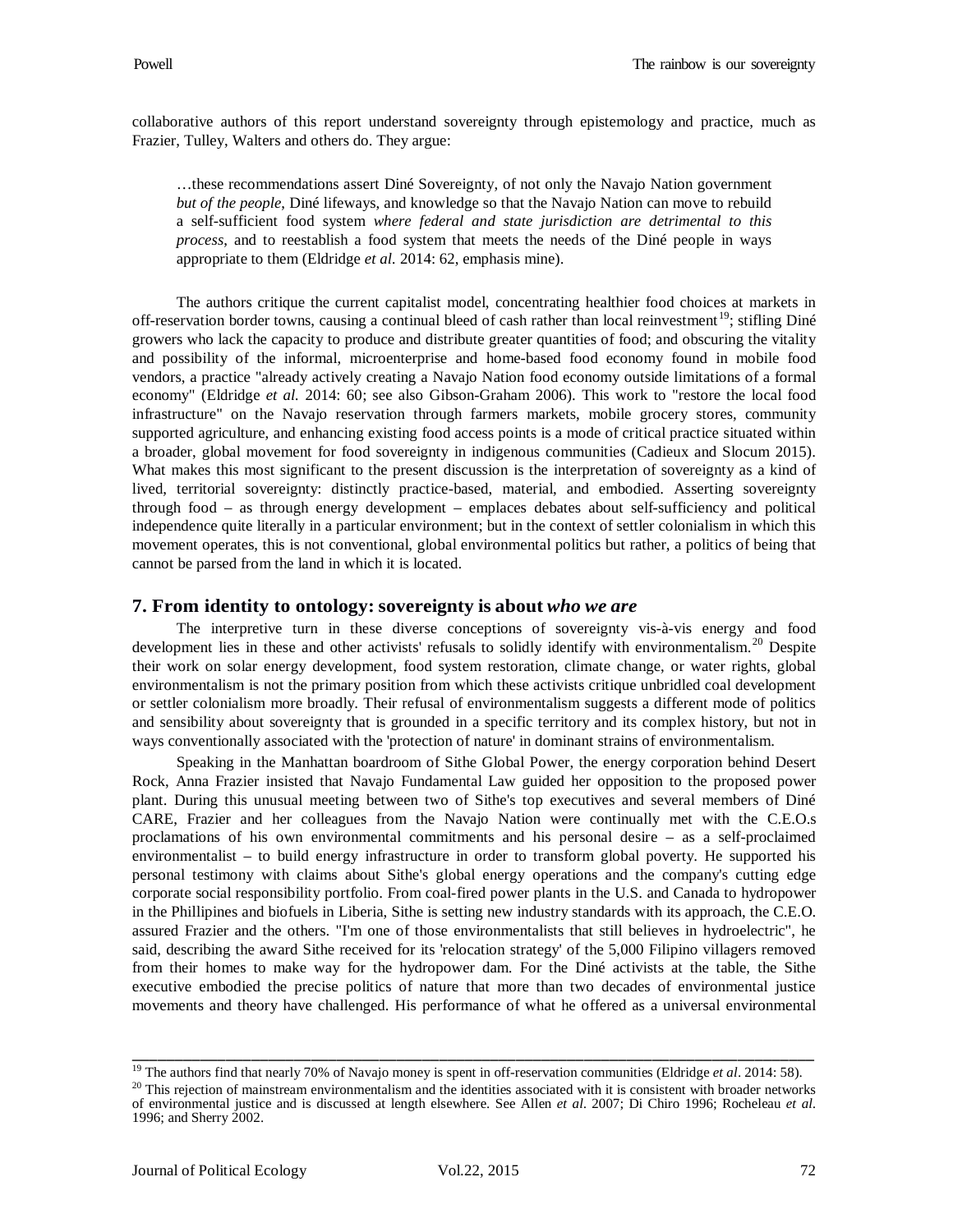collaborative authors of this report understand sovereignty through epistemology and practice, much as Frazier, Tulley, Walters and others do. They argue:

…these recommendations assert Diné Sovereignty, of not only the Navajo Nation government *but of the people*, Diné lifeways, and knowledge so that the Navajo Nation can move to rebuild a self-sufficient food system *where federal and state jurisdiction are detrimental to this process*, and to reestablish a food system that meets the needs of the Diné people in ways appropriate to them (Eldridge *et al.* 2014: 62, emphasis mine).

The authors critique the current capitalist model, concentrating healthier food choices at markets in off-reservation border towns, causing a continual bleed of cash rather than local reinvestment<sup>19</sup>; stifling Diné growers who lack the capacity to produce and distribute greater quantities of food; and obscuring the vitality and possibility of the informal, microenterprise and home-based food economy found in mobile food vendors, a practice "already actively creating a Navajo Nation food economy outside limitations of a formal economy" (Eldridge *et al.* 2014: 60; see also Gibson-Graham 2006). This work to "restore the local food infrastructure" on the Navajo reservation through farmers markets, mobile grocery stores, community supported agriculture, and enhancing existing food access points is a mode of critical practice situated within a broader, global movement for food sovereignty in indigenous communities (Cadieux and Slocum 2015). What makes this most significant to the present discussion is the interpretation of sovereignty as a kind of lived, territorial sovereignty: distinctly practice-based, material, and embodied. Asserting sovereignty through food – as through energy development – emplaces debates about self-sufficiency and political independence quite literally in a particular environment; but in the context of settler colonialism in which this movement operates, this is not conventional, global environmental politics but rather, a politics of being that cannot be parsed from the land in which it is located.

#### **7. From identity to ontology: sovereignty is about** *who we are*

The interpretive turn in these diverse conceptions of sovereignty vis-à-vis energy and food development lies in these and other activists' refusals to solidly identify with environmentalism.<sup>[20](#page-19-1)</sup> Despite their work on solar energy development, food system restoration, climate change, or water rights, global environmentalism is not the primary position from which these activists critique unbridled coal development or settler colonialism more broadly. Their refusal of environmentalism suggests a different mode of politics and sensibility about sovereignty that is grounded in a specific territory and its complex history, but not in ways conventionally associated with the 'protection of nature' in dominant strains of environmentalism.

Speaking in the Manhattan boardroom of Sithe Global Power, the energy corporation behind Desert Rock, Anna Frazier insisted that Navajo Fundamental Law guided her opposition to the proposed power plant. During this unusual meeting between two of Sithe's top executives and several members of Diné CARE, Frazier and her colleagues from the Navajo Nation were continually met with the C.E.O.s proclamations of his own environmental commitments and his personal desire – as a self-proclaimed environmentalist – to build energy infrastructure in order to transform global poverty. He supported his personal testimony with claims about Sithe's global energy operations and the company's cutting edge corporate social responsibility portfolio. From coal-fired power plants in the U.S. and Canada to hydropower in the Phillipines and biofuels in Liberia, Sithe is setting new industry standards with its approach, the C.E.O. assured Frazier and the others. "I'm one of those environmentalists that still believes in hydroelectric", he said, describing the award Sithe received for its 'relocation strategy' of the 5,000 Filipino villagers removed from their homes to make way for the hydropower dam. For the Diné activists at the table, the Sithe executive embodied the precise politics of nature that more than two decades of environmental justice movements and theory have challenged. His performance of what he offered as a universal environmental

<sup>&</sup>lt;sup>19</sup> The authors find that nearly 70% of Navajo money is spent in off-reservation communities (Eldridge *et al.* 2014: 58). \_\_\_\_\_\_\_\_\_\_\_\_\_\_\_\_\_\_\_\_\_\_\_\_\_\_\_\_\_\_\_\_\_\_\_\_\_\_\_\_\_\_\_\_\_\_\_\_\_\_\_\_\_\_\_\_\_\_\_\_\_\_\_\_\_\_\_\_\_\_\_\_\_\_\_\_\_\_\_\_

<span id="page-19-1"></span><span id="page-19-0"></span> $^{20}$  This rejection of mainstream environmentalism and the identities associated with it is consistent with broader networks of environmental justice and is discussed at length elsewhere. See Allen *et al.* 2007; Di Chiro 1996; Rocheleau *et al.* 1996; and Sherry 2002.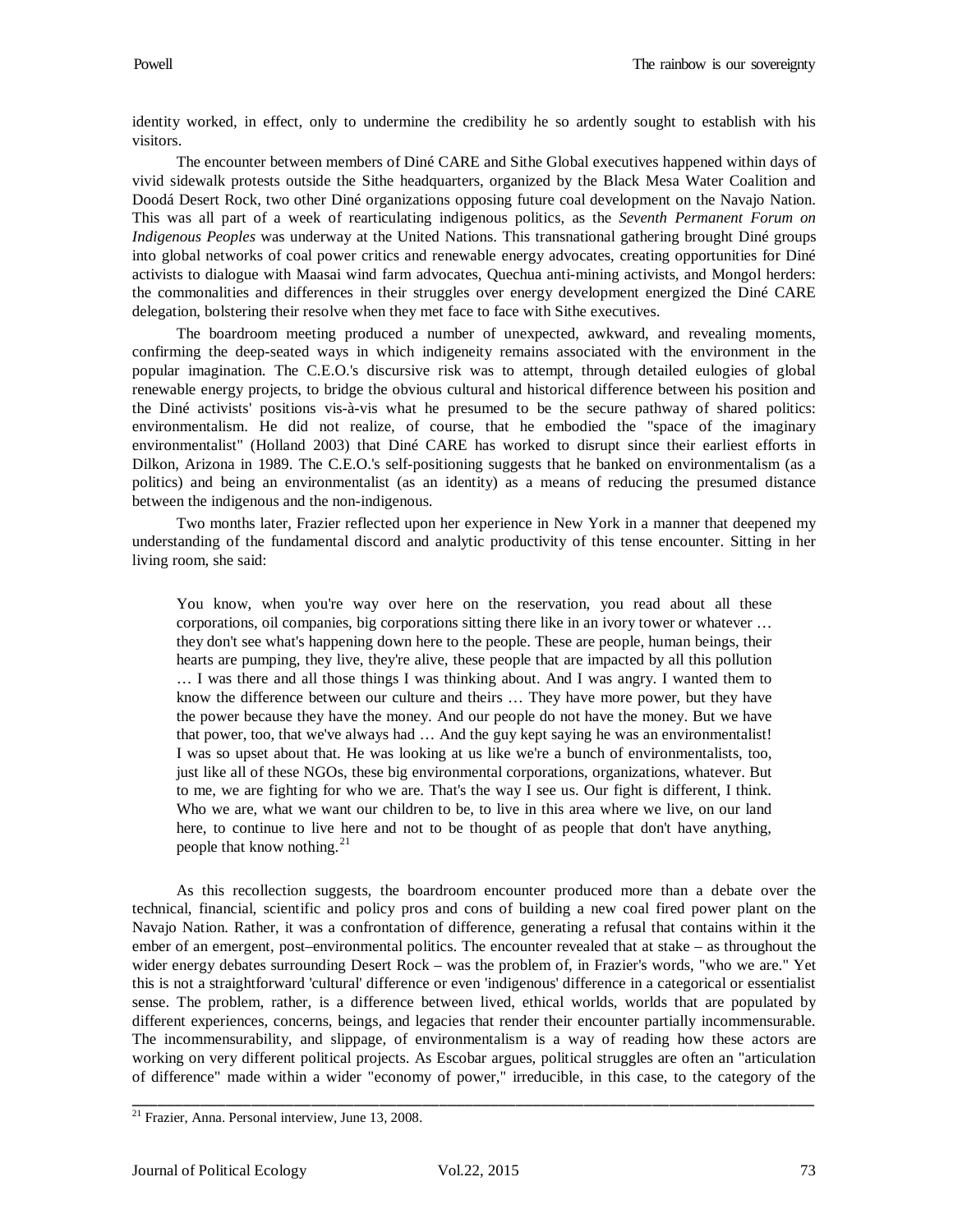identity worked, in effect, only to undermine the credibility he so ardently sought to establish with his visitors.

The encounter between members of Diné CARE and Sithe Global executives happened within days of vivid sidewalk protests outside the Sithe headquarters, organized by the Black Mesa Water Coalition and Doodá Desert Rock, two other Diné organizations opposing future coal development on the Navajo Nation. This was all part of a week of rearticulating indigenous politics, as the *Seventh Permanent Forum on Indigenous Peoples* was underway at the United Nations. This transnational gathering brought Diné groups into global networks of coal power critics and renewable energy advocates, creating opportunities for Diné activists to dialogue with Maasai wind farm advocates, Quechua anti-mining activists, and Mongol herders: the commonalities and differences in their struggles over energy development energized the Diné CARE delegation, bolstering their resolve when they met face to face with Sithe executives.

The boardroom meeting produced a number of unexpected, awkward, and revealing moments, confirming the deep-seated ways in which indigeneity remains associated with the environment in the popular imagination. The C.E.O.'s discursive risk was to attempt, through detailed eulogies of global renewable energy projects, to bridge the obvious cultural and historical difference between his position and the Diné activists' positions vis-à-vis what he presumed to be the secure pathway of shared politics: environmentalism. He did not realize, of course, that he embodied the "space of the imaginary environmentalist" (Holland 2003) that Diné CARE has worked to disrupt since their earliest efforts in Dilkon, Arizona in 1989. The C.E.O.'s self-positioning suggests that he banked on environmentalism (as a politics) and being an environmentalist (as an identity) as a means of reducing the presumed distance between the indigenous and the non-indigenous.

Two months later, Frazier reflected upon her experience in New York in a manner that deepened my understanding of the fundamental discord and analytic productivity of this tense encounter. Sitting in her living room, she said:

You know, when you're way over here on the reservation, you read about all these corporations, oil companies, big corporations sitting there like in an ivory tower or whatever … they don't see what's happening down here to the people. These are people, human beings, their hearts are pumping, they live, they're alive, these people that are impacted by all this pollution … I was there and all those things I was thinking about. And I was angry. I wanted them to know the difference between our culture and theirs … They have more power, but they have the power because they have the money. And our people do not have the money. But we have that power, too, that we've always had … And the guy kept saying he was an environmentalist! I was so upset about that. He was looking at us like we're a bunch of environmentalists, too, just like all of these NGOs, these big environmental corporations, organizations, whatever. But to me, we are fighting for who we are. That's the way I see us. Our fight is different, I think. Who we are, what we want our children to be, to live in this area where we live, on our land here, to continue to live here and not to be thought of as people that don't have anything, people that know nothing.<sup>[21](#page-20-0)</sup>

As this recollection suggests, the boardroom encounter produced more than a debate over the technical, financial, scientific and policy pros and cons of building a new coal fired power plant on the Navajo Nation. Rather, it was a confrontation of difference, generating a refusal that contains within it the ember of an emergent, post–environmental politics. The encounter revealed that at stake – as throughout the wider energy debates surrounding Desert Rock – was the problem of, in Frazier's words, "who we are." Yet this is not a straightforward 'cultural' difference or even 'indigenous' difference in a categorical or essentialist sense. The problem, rather, is a difference between lived, ethical worlds, worlds that are populated by different experiences, concerns, beings, and legacies that render their encounter partially incommensurable. The incommensurability, and slippage, of environmentalism is a way of reading how these actors are working on very different political projects. As Escobar argues, political struggles are often an "articulation of difference" made within a wider "economy of power," irreducible, in this case, to the category of the

<span id="page-20-0"></span> $21$  Frazier, Anna. Personal interview, June 13, 2008.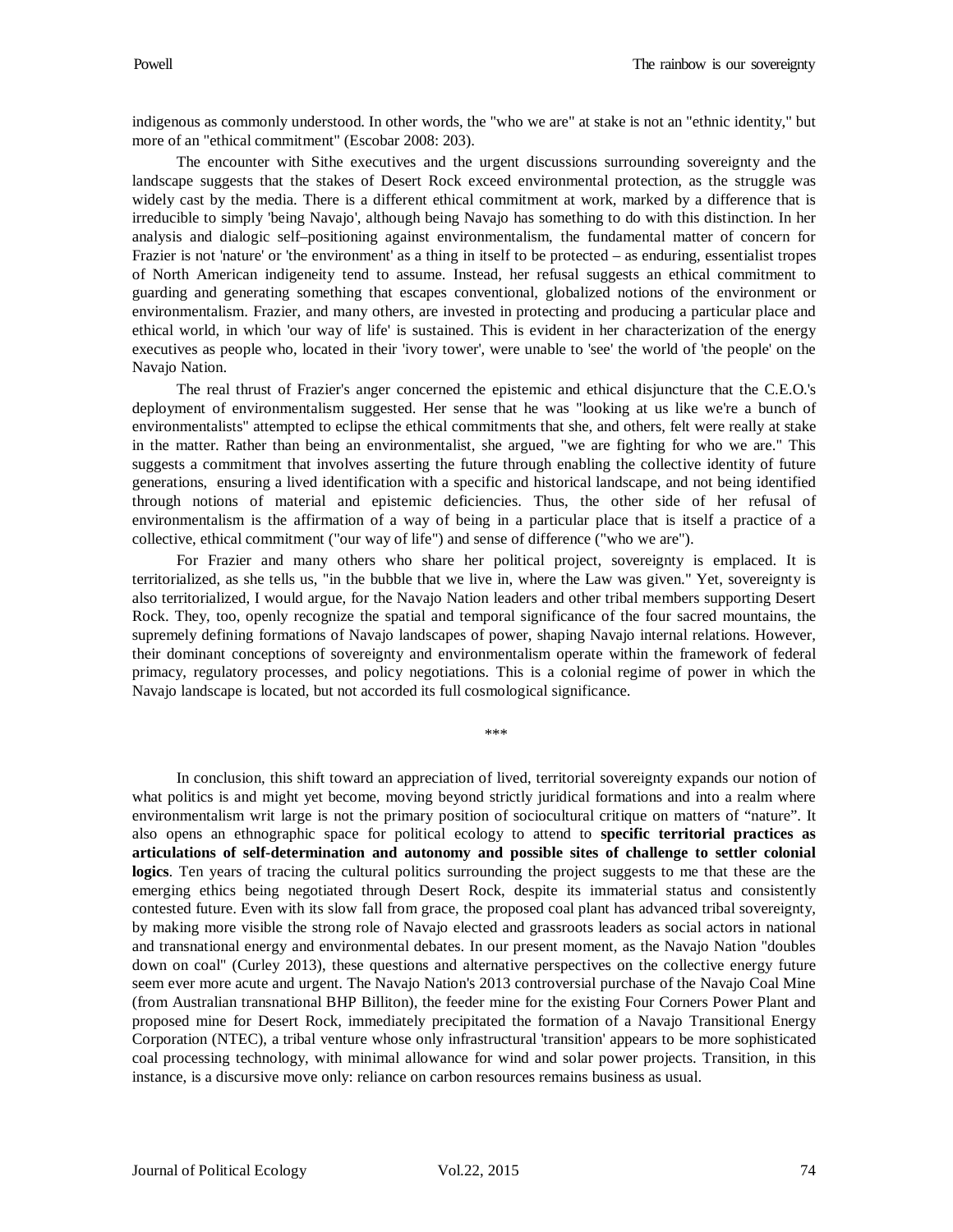indigenous as commonly understood. In other words, the "who we are" at stake is not an "ethnic identity," but more of an "ethical commitment" (Escobar 2008: 203).

The encounter with Sithe executives and the urgent discussions surrounding sovereignty and the landscape suggests that the stakes of Desert Rock exceed environmental protection, as the struggle was widely cast by the media. There is a different ethical commitment at work, marked by a difference that is irreducible to simply 'being Navajo', although being Navajo has something to do with this distinction. In her analysis and dialogic self–positioning against environmentalism, the fundamental matter of concern for Frazier is not 'nature' or 'the environment' as a thing in itself to be protected – as enduring, essentialist tropes of North American indigeneity tend to assume. Instead, her refusal suggests an ethical commitment to guarding and generating something that escapes conventional, globalized notions of the environment or environmentalism. Frazier, and many others, are invested in protecting and producing a particular place and ethical world, in which 'our way of life' is sustained. This is evident in her characterization of the energy executives as people who, located in their 'ivory tower', were unable to 'see' the world of 'the people' on the Navajo Nation.

The real thrust of Frazier's anger concerned the epistemic and ethical disjuncture that the C.E.O.'s deployment of environmentalism suggested. Her sense that he was "looking at us like we're a bunch of environmentalists" attempted to eclipse the ethical commitments that she, and others, felt were really at stake in the matter. Rather than being an environmentalist, she argued, "we are fighting for who we are." This suggests a commitment that involves asserting the future through enabling the collective identity of future generations, ensuring a lived identification with a specific and historical landscape, and not being identified through notions of material and epistemic deficiencies. Thus, the other side of her refusal of environmentalism is the affirmation of a way of being in a particular place that is itself a practice of a collective, ethical commitment ("our way of life") and sense of difference ("who we are").

For Frazier and many others who share her political project, sovereignty is emplaced. It is territorialized, as she tells us, "in the bubble that we live in, where the Law was given." Yet, sovereignty is also territorialized, I would argue, for the Navajo Nation leaders and other tribal members supporting Desert Rock. They, too, openly recognize the spatial and temporal significance of the four sacred mountains, the supremely defining formations of Navajo landscapes of power, shaping Navajo internal relations. However, their dominant conceptions of sovereignty and environmentalism operate within the framework of federal primacy, regulatory processes, and policy negotiations. This is a colonial regime of power in which the Navajo landscape is located, but not accorded its full cosmological significance.

\*\*\*

In conclusion, this shift toward an appreciation of lived, territorial sovereignty expands our notion of what politics is and might yet become, moving beyond strictly juridical formations and into a realm where environmentalism writ large is not the primary position of sociocultural critique on matters of "nature". It also opens an ethnographic space for political ecology to attend to **specific territorial practices as articulations of self-determination and autonomy and possible sites of challenge to settler colonial logics**. Ten years of tracing the cultural politics surrounding the project suggests to me that these are the emerging ethics being negotiated through Desert Rock, despite its immaterial status and consistently contested future. Even with its slow fall from grace, the proposed coal plant has advanced tribal sovereignty, by making more visible the strong role of Navajo elected and grassroots leaders as social actors in national and transnational energy and environmental debates. In our present moment, as the Navajo Nation "doubles down on coal" (Curley 2013), these questions and alternative perspectives on the collective energy future seem ever more acute and urgent. The Navajo Nation's 2013 controversial purchase of the Navajo Coal Mine (from Australian transnational BHP Billiton), the feeder mine for the existing Four Corners Power Plant and proposed mine for Desert Rock, immediately precipitated the formation of a Navajo Transitional Energy Corporation (NTEC), a tribal venture whose only infrastructural 'transition' appears to be more sophisticated coal processing technology, with minimal allowance for wind and solar power projects. Transition, in this instance, is a discursive move only: reliance on carbon resources remains business as usual.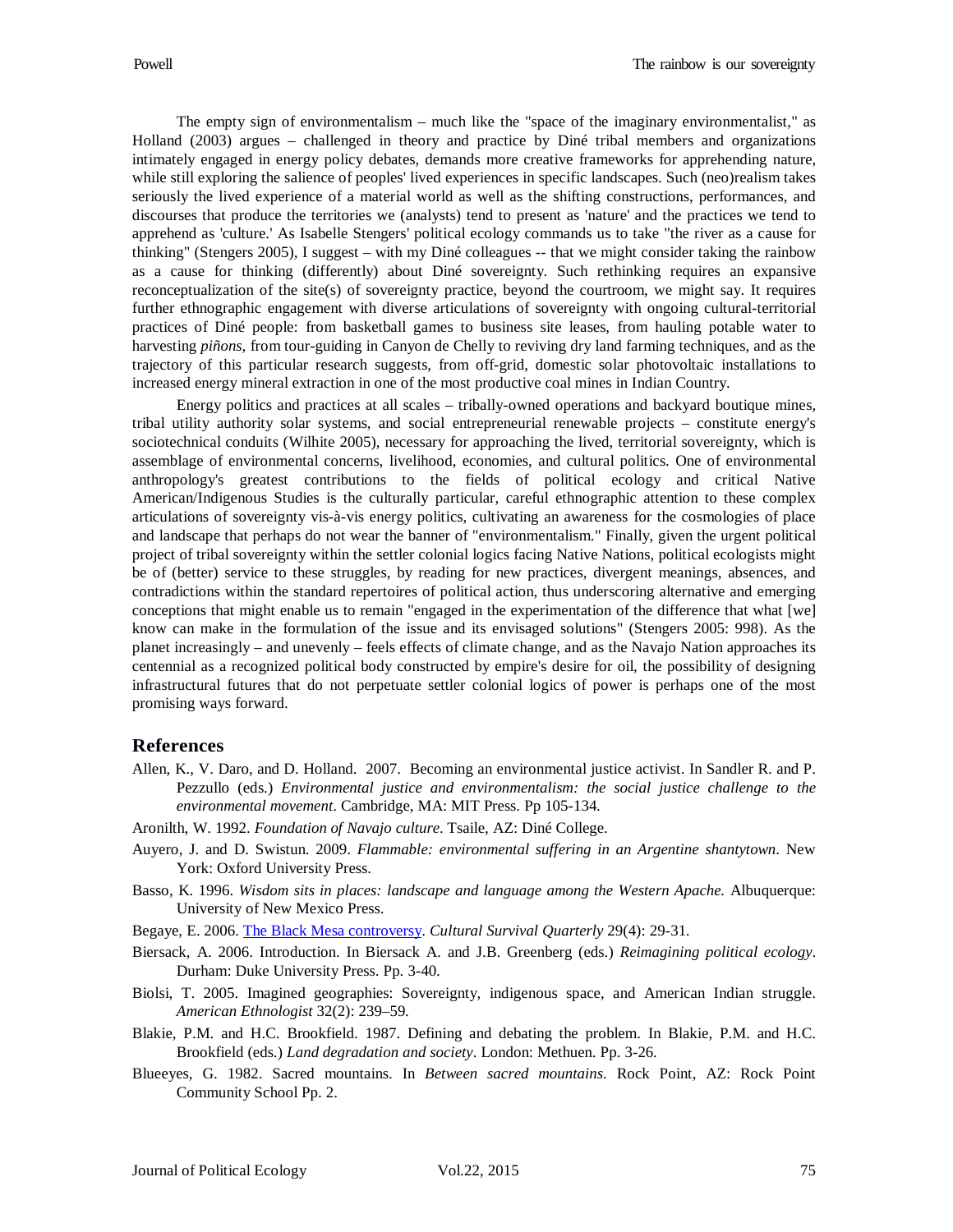The empty sign of environmentalism – much like the "space of the imaginary environmentalist," as Holland (2003) argues – challenged in theory and practice by Diné tribal members and organizations intimately engaged in energy policy debates, demands more creative frameworks for apprehending nature, while still exploring the salience of peoples' lived experiences in specific landscapes. Such (neo)realism takes seriously the lived experience of a material world as well as the shifting constructions, performances, and discourses that produce the territories we (analysts) tend to present as 'nature' and the practices we tend to apprehend as 'culture.' As Isabelle Stengers' political ecology commands us to take "the river as a cause for thinking" (Stengers 2005), I suggest – with my Diné colleagues -- that we might consider taking the rainbow as a cause for thinking (differently) about Diné sovereignty. Such rethinking requires an expansive reconceptualization of the site(s) of sovereignty practice, beyond the courtroom, we might say. It requires further ethnographic engagement with diverse articulations of sovereignty with ongoing cultural-territorial practices of Diné people: from basketball games to business site leases, from hauling potable water to harvesting *piñons*, from tour-guiding in Canyon de Chelly to reviving dry land farming techniques, and as the trajectory of this particular research suggests, from off-grid, domestic solar photovoltaic installations to increased energy mineral extraction in one of the most productive coal mines in Indian Country.

Energy politics and practices at all scales – tribally-owned operations and backyard boutique mines, tribal utility authority solar systems, and social entrepreneurial renewable projects – constitute energy's sociotechnical conduits (Wilhite 2005), necessary for approaching the lived, territorial sovereignty, which is assemblage of environmental concerns, livelihood, economies, and cultural politics. One of environmental anthropology's greatest contributions to the fields of political ecology and critical Native American/Indigenous Studies is the culturally particular, careful ethnographic attention to these complex articulations of sovereignty vis-à-vis energy politics, cultivating an awareness for the cosmologies of place and landscape that perhaps do not wear the banner of "environmentalism." Finally, given the urgent political project of tribal sovereignty within the settler colonial logics facing Native Nations, political ecologists might be of (better) service to these struggles, by reading for new practices, divergent meanings, absences, and contradictions within the standard repertoires of political action, thus underscoring alternative and emerging conceptions that might enable us to remain "engaged in the experimentation of the difference that what [we] know can make in the formulation of the issue and its envisaged solutions" (Stengers 2005: 998). As the planet increasingly – and unevenly – feels effects of climate change, and as the Navajo Nation approaches its centennial as a recognized political body constructed by empire's desire for oil, the possibility of designing infrastructural futures that do not perpetuate settler colonial logics of power is perhaps one of the most promising ways forward.

#### **References**

- Allen, K., V. Daro, and D. Holland. 2007. Becoming an environmental justice activist. In Sandler R. and P. Pezzullo (eds.) *Environmental justice and environmentalism: the social justice challenge to the environmental movement*. Cambridge, MA: MIT Press. Pp 105-134.
- Aronilth, W. 1992. *Foundation of Navajo culture*. Tsaile, AZ: Diné College.
- Auyero, J. and D. Swistun. 2009. *Flammable: environmental suffering in an Argentine shantytown*. New York: Oxford University Press.
- Basso, K. 1996. *Wisdom sits in places: landscape and language among the Western Apache.* Albuquerque: University of New Mexico Press.
- Begaye, E. 2006. [The Black Mesa controversy.](http://www.culturalsurvival.org/publications/cultural-survival-quarterly/united-states/black-mesa-controversy) *Cultural Survival Quarterly* 29(4): 29-31.
- Biersack, A. 2006. Introduction. In Biersack A. and J.B. Greenberg (eds.) *Reimagining political ecology*. Durham: Duke University Press. Pp. 3-40.
- Biolsi, T. 2005. Imagined geographies: Sovereignty, indigenous space, and American Indian struggle. *American Ethnologist* 32(2): 239–59.
- Blakie, P.M. and H.C. Brookfield. 1987. Defining and debating the problem. In Blakie, P.M. and H.C. Brookfield (eds.) *Land degradation and society*. London: Methuen. Pp. 3-26.
- Blueeyes, G. 1982. Sacred mountains. In *Between sacred mountains*. Rock Point, AZ: Rock Point Community School Pp. 2.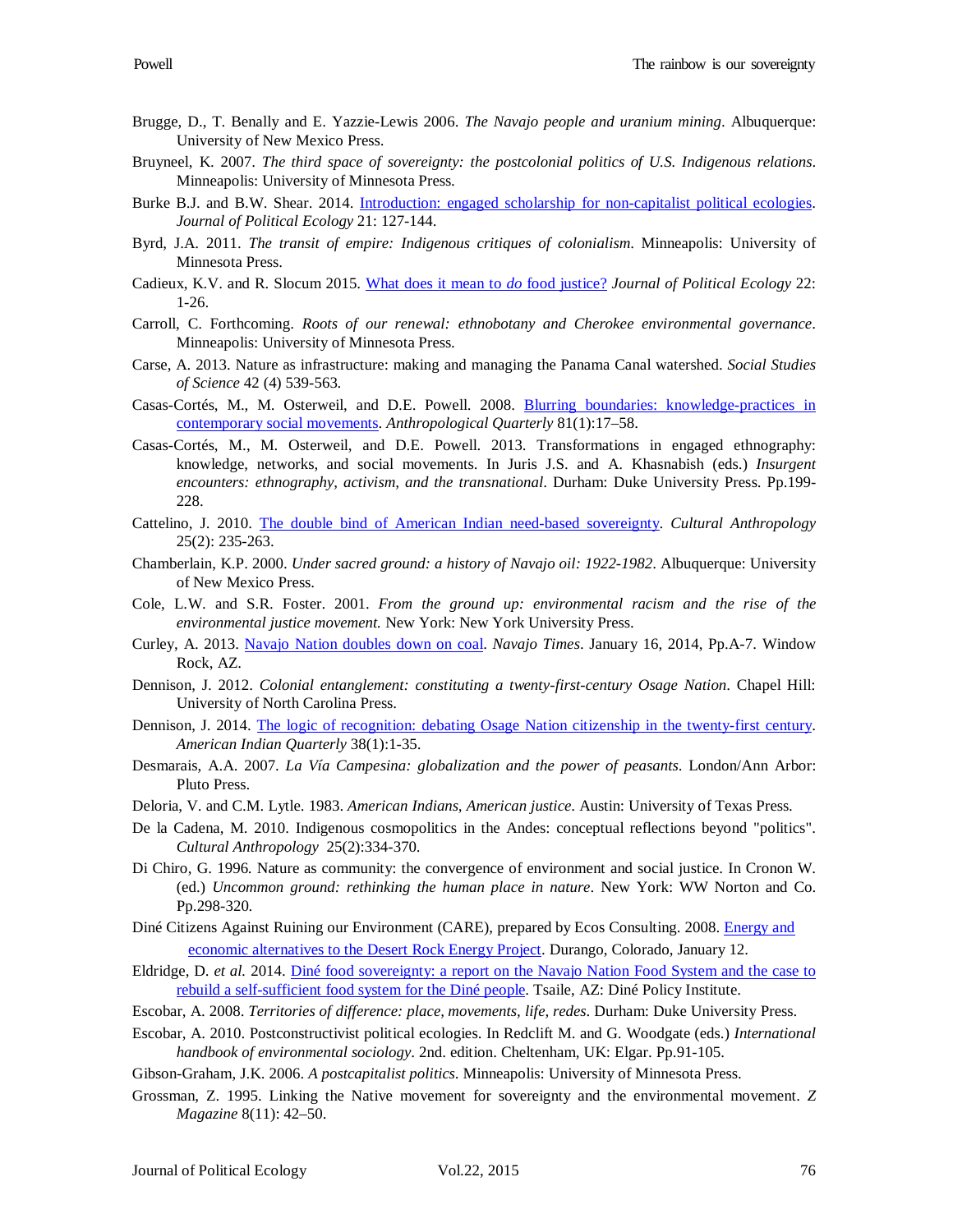- Brugge, D., T. Benally and E. Yazzie-Lewis 2006. *The Navajo people and uranium mining*. Albuquerque: University of New Mexico Press.
- Bruyneel, K. 2007. *The third space of sovereignty: the postcolonial politics of U.S. Indigenous relations*. Minneapolis: University of Minnesota Press.
- Burke B.J. and B.W. Shear. 2014. [Introduction: engaged scholarship for non-capitalist political ecologies.](http://jpe.library.arizona.edu/volume_21/BurkeandShear.pdf) *Journal of Political Ecology* 21: 127-144.
- Byrd, J.A. 2011. *The transit of empire: Indigenous critiques of colonialism*. Minneapolis: University of Minnesota Press.
- Cadieux, K.V. and R. Slocum 2015. [What does it mean to](http://jpe.library.arizona.edu/volume_22/Cadieuxslocum.pdf) *do* food justice? *Journal of Political Ecology* 22: 1-26.
- Carroll, C. Forthcoming. *Roots of our renewal: ethnobotany and Cherokee environmental governance*. Minneapolis: University of Minnesota Press.
- Carse, A. 2013. Nature as infrastructure: making and managing the Panama Canal watershed. *Social Studies of Science* 42 (4) 539-563.
- Casas-Cortés, M., M. Osterweil, and D.E. Powell. 2008. [Blurring boundaries: knowledge-practices in](http://www.countercartographies.org/wp-content/files/Blurring_Boundaries.pdf)  [contemporary social movements.](http://www.countercartographies.org/wp-content/files/Blurring_Boundaries.pdf) *Anthropological Quarterly* 81(1):17–58.
- Casas-Cortés, M., M. Osterweil, and D.E. Powell. 2013. Transformations in engaged ethnography: knowledge, networks, and social movements. In Juris J.S. and A. Khasnabish (eds.) *Insurgent encounters: ethnography, activism, and the transnational*. Durham: Duke University Press. Pp.199- 228.
- Cattelino, J. 2010. [The double bind of American Indian need-based sovereignty.](http://www.sscnet.ucla.edu/anthro/faculty/jcattelino/CattelinoDoubleBind.pdf) *Cultural Anthropology* 25(2): 235-263.
- Chamberlain, K.P. 2000. *Under sacred ground: a history of Navajo oil: 1922-1982*. Albuquerque: University of New Mexico Press.
- Cole, L.W. and S.R. Foster. 2001. *From the ground up: environmental racism and the rise of the environmental justice movement.* New York: New York University Press.
- Curley, A. 2013. [Navajo Nation doubles down on coal.](http://www.hcn.org/blogs/goat/navajos-double-down-on-coal) *Navajo Times*. January 16, 2014, Pp.A-7. Window Rock, AZ.
- Dennison, J. 2012. *Colonial entanglement: constituting a twenty-first-century Osage Nation*. Chapel Hill: University of North Carolina Press.
- Dennison, J. 2014. [The logic of recognition: debating Osage Nation citizenship in the twenty-first century.](http://www.academia.edu/5686475/The_Logic_of_Recognition_Debating_Osage_Nation_Citizenship_in_the_Twenty-_First_Century) *American Indian Quarterly* 38(1):1-35.
- Desmarais, A.A. 2007. *La Vía Campesina: globalization and the power of peasants*. London/Ann Arbor: Pluto Press.
- Deloria, V. and C.M. Lytle. 1983. *American Indians, American justice*. Austin: University of Texas Press.
- De la Cadena, M. 2010. Indigenous cosmopolitics in the Andes: conceptual reflections beyond "politics". *Cultural Anthropology* 25(2):334-370.
- Di Chiro, G. 1996. Nature as community: the convergence of environment and social justice. In Cronon W. (ed.) *Uncommon ground: rethinking the human place in nature*. New York: WW Norton and Co. Pp.298-320.
- Diné Citizens Against Ruining our Environment (CARE), prepared by Ecos Consulting. 2008. [Energy and](http://caseygrants.org/wp-content/uploads/2012/08/Alternatives_to_Desert_Rock_Executive_Summary.pdf) [economic alternatives to the Desert Rock Energy Project.](http://caseygrants.org/wp-content/uploads/2012/08/Alternatives_to_Desert_Rock_Executive_Summary.pdf) Durango, Colorado, January 12.
- Eldridge, D. *et al.* 2014. [Diné food sovereignty: a report on the Navajo Nation Food](http://www.dinecollege.edu/institutes/DPI/Docs/dpi-food-sovereignty-report.pdf) System and the case to [rebuild a self-sufficient food system for the Diné people.](http://www.dinecollege.edu/institutes/DPI/Docs/dpi-food-sovereignty-report.pdf) Tsaile, AZ: Diné Policy Institute.
- Escobar, A. 2008. *Territories of difference: place, movements, life, redes*. Durham: Duke University Press.
- Escobar, A. 2010. Postconstructivist political ecologies. In Redclift M. and G. Woodgate (eds.) *International handbook of environmental sociology*. 2nd. edition. Cheltenham, UK: Elgar. Pp.91-105.
- Gibson-Graham, J.K. 2006. *A postcapitalist politics*. Minneapolis: University of Minnesota Press.
- Grossman, Z. 1995. Linking the Native movement for sovereignty and the environmental movement. *Z Magazine* 8(11): 42–50.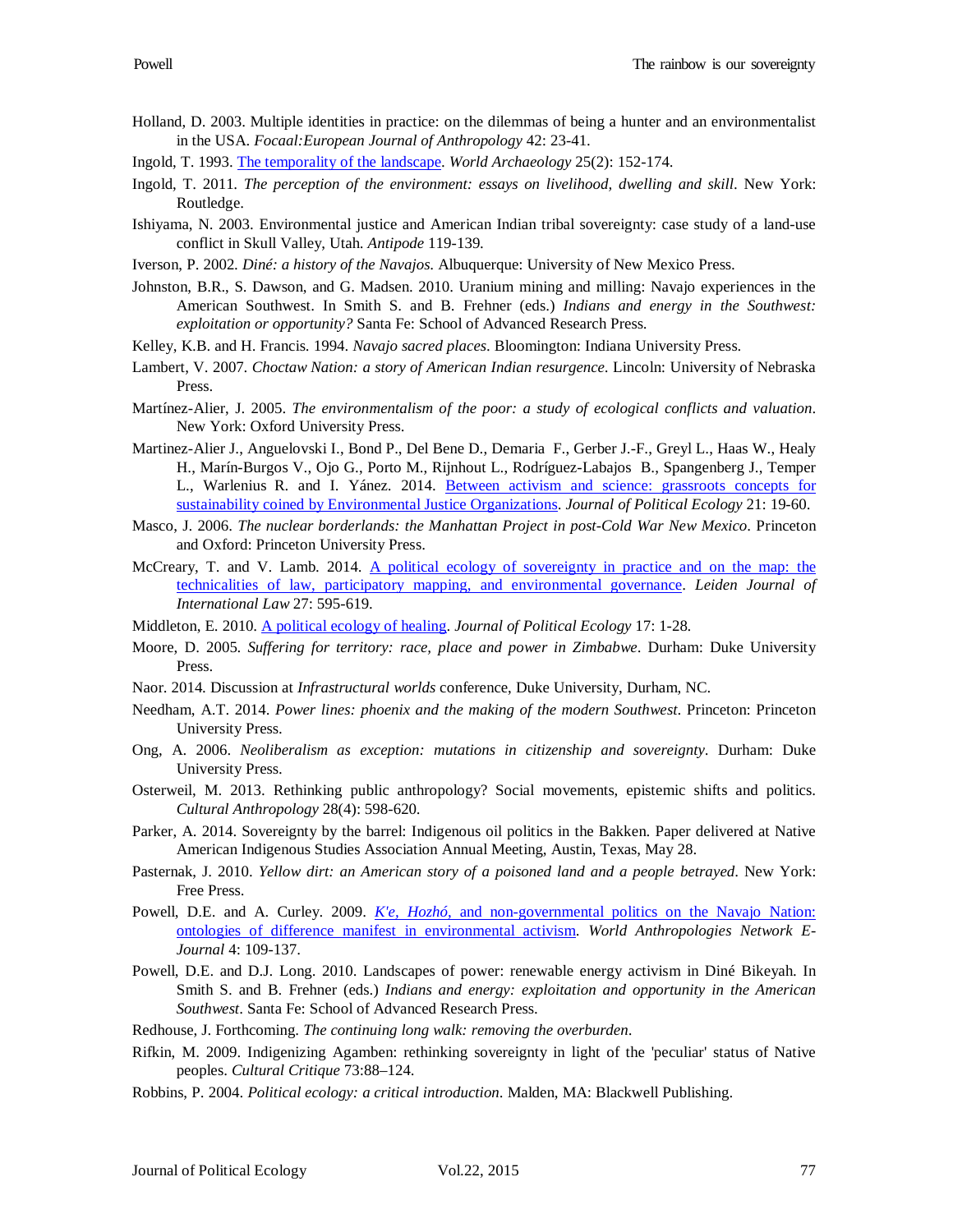- Holland, D. 2003. Multiple identities in practice: on the dilemmas of being a hunter and an environmentalist in the USA. *Focaal:European Journal of Anthropology* 42: 23-41.
- Ingold, T. 1993. [The temporality of the landscape.](http://api.ning.com/files/j71ggSZMV5hpaYjS62IyJL8I8Xju*SBfRkD7Kfym6l06nBpzWoeO*-GyGqXXAal5/ingold_temporalityoflandscape.pdf) *World Archaeology* 25(2): 152-174.
- Ingold, T. 2011. *The perception of the environment: essays on livelihood, dwelling and skill*. New York: Routledge.
- Ishiyama, N. 2003. Environmental justice and American Indian tribal sovereignty: case study of a land-use conflict in Skull Valley, Utah. *Antipode* 119-139.
- Iverson, P. 2002. *Diné: a history of the Navajos*. Albuquerque: University of New Mexico Press.
- Johnston, B.R., S. Dawson, and G. Madsen. 2010. Uranium mining and milling: Navajo experiences in the American Southwest. In Smith S. and B. Frehner (eds.) *Indians and energy in the Southwest: exploitation or opportunity?* Santa Fe: School of Advanced Research Press.
- Kelley, K.B. and H. Francis. 1994. *Navajo sacred places*. Bloomington: Indiana University Press.
- Lambert, V. 2007. *Choctaw Nation: a story of American Indian resurgence*. Lincoln: University of Nebraska Press.
- Martínez-Alier, J. 2005. *The environmentalism of the poor: a study of ecological conflicts and valuation*. New York: Oxford University Press.
- Martinez-Alier J., Anguelovski I., Bond P., Del Bene D., Demaria F., Gerber J.-F., Greyl L., Haas W., Healy H., Marín-Burgos V., Ojo G., Porto M., Rijnhout L., Rodríguez-Labajos B., Spangenberg J., Temper L., Warlenius R. and I. Yánez. 2014. [Between activism and science: grassroots concepts for](http://jpe.library.arizona.edu/volume_21/Martinez-Alier.pdf)  [sustainability coined by Environmental Justice Organizations.](http://jpe.library.arizona.edu/volume_21/Martinez-Alier.pdf) *Journal of Political Ecology* 21: 19-60.
- Masco, J. 2006. *The nuclear borderlands: the Manhattan Project in post-Cold War New Mexico*. Princeton and Oxford: Princeton University Press.
- McCreary, T. and V. Lamb. 2014. [A political ecology of sovereignty in practice and](http://www.academia.edu/7785612/A_Political_Ecology_of_Sovereignty_in_Practice_and_on_the_Map_The_Technicalities_of_Law_Participatory_Mapping_and_Environmental_Governance) on the map: the [technicalities of law, participatory mapping, and environmental governance.](http://www.academia.edu/7785612/A_Political_Ecology_of_Sovereignty_in_Practice_and_on_the_Map_The_Technicalities_of_Law_Participatory_Mapping_and_Environmental_Governance) *Leiden Journal of International Law* 27: 595-619.
- Middleton, E. 2010. [A political ecology of healing.](http://jpe.library.arizona.edu/volume_17/Middleton.pdf) *Journal of Political Ecology* 17: 1-28.
- Moore, D. 2005. *Suffering for territory: race, place and power in Zimbabwe*. Durham: Duke University Press.
- Naor. 2014. Discussion at *Infrastructural worlds* conference, Duke University, Durham, NC.
- Needham, A.T. 2014. *Power lines: phoenix and the making of the modern Southwest*. Princeton: Princeton University Press.
- Ong, A. 2006. *Neoliberalism as exception: mutations in citizenship and sovereignty*. Durham: Duke University Press.
- Osterweil, M. 2013. Rethinking public anthropology? Social movements, epistemic shifts and politics. *Cultural Anthropology* 28(4): 598-620.
- Parker, A. 2014. Sovereignty by the barrel: Indigenous oil politics in the Bakken. Paper delivered at Native American Indigenous Studies Association Annual Meeting, Austin, Texas, May 28.
- Pasternak, J. 2010. *Yellow dirt: an American story of a poisoned land and a people betrayed*. New York: Free Press.
- Powell, D.E. and A. Curley. 2009. *K'e, Hozhó*[, and non-governmental politics on the Navajo Nation:](http://www.ram-wan.net/documents/05_e_Journal/journal-4/5-powell.pdf)  [ontologies of difference manifest in environmental activism.](http://www.ram-wan.net/documents/05_e_Journal/journal-4/5-powell.pdf) *World Anthropologies Network E-Journal* 4: 109-137.
- Powell, D.E. and D.J. Long. 2010. Landscapes of power: renewable energy activism in Diné Bikeyah. In Smith S. and B. Frehner (eds.) *Indians and energy: exploitation and opportunity in the American Southwest*. Santa Fe: School of Advanced Research Press.
- Redhouse, J. Forthcoming. *The continuing long walk: removing the overburden*.
- Rifkin, M. 2009. Indigenizing Agamben: rethinking sovereignty in light of the 'peculiar' status of Native peoples. *Cultural Critique* 73:88–124.
- Robbins, P. 2004. *Political ecology: a critical introduction*. Malden, MA: Blackwell Publishing.